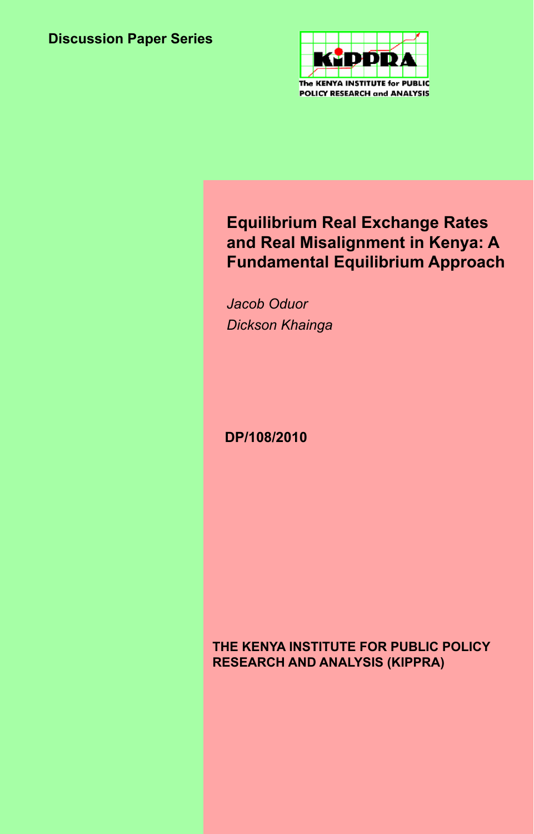

# **Equilibrium Real Exchange Rates and Real Misalignment in Kenya: A Fundamental Equilibrium Approach**

*Jacob Oduor Dickson Khainga*

**DP/108/2010**

### **THE KENYA INSTITUTE FOR PUBLIC POLICY RESEARCH AND ANALYSIS (KIPPRA)**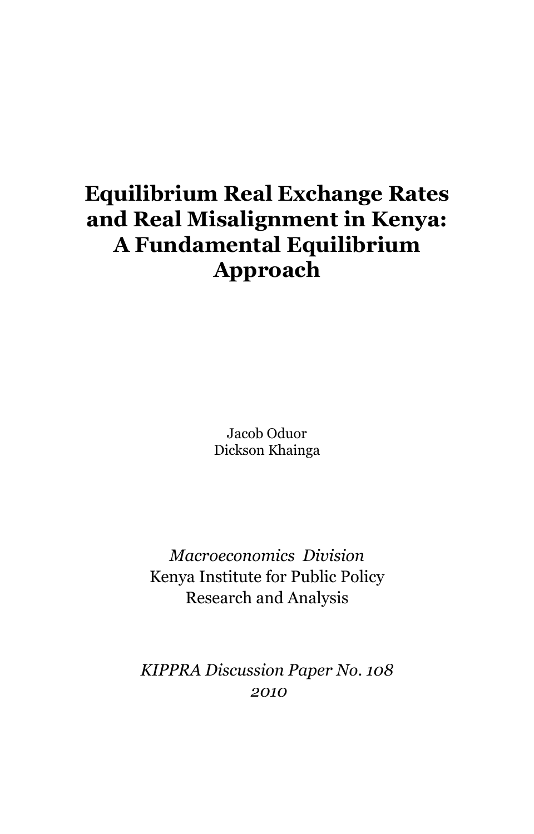# **Equilibrium Real Exchange Rates and Real Misalignment in Kenya: A Fundamental Equilibrium Approach**

Jacob Oduor Dickson Khainga

*Macroeconomics Division* Kenya Institute for Public Policy Research and Analysis

*KIPPRA Discussion Paper No. 108 2010*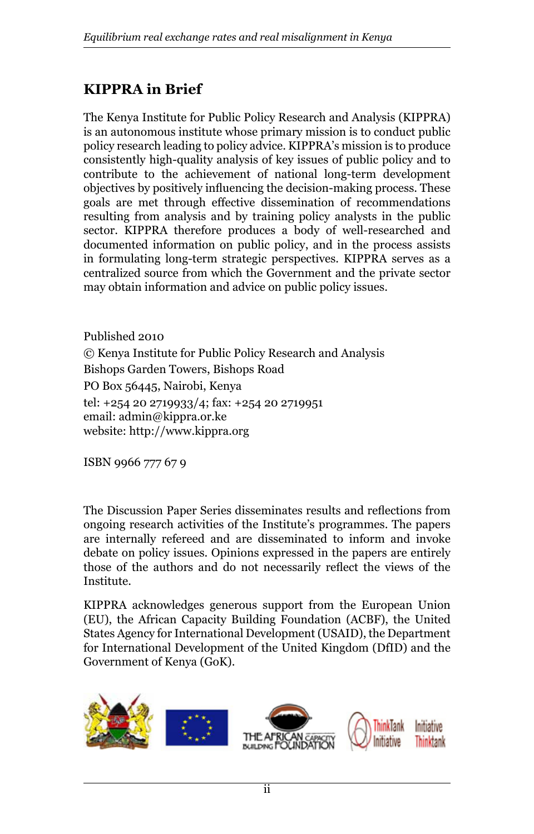# **KIPPRA in Brief**

The Kenya Institute for Public Policy Research and Analysis (KIPPRA) is an autonomous institute whose primary mission is to conduct public policy research leading to policy advice. KIPPRA's mission is to produce consistently high-quality analysis of key issues of public policy and to contribute to the achievement of national long-term development objectives by positively influencing the decision-making process. These goals are met through effective dissemination of recommendations resulting from analysis and by training policy analysts in the public sector. KIPPRA therefore produces a body of well-researched and documented information on public policy, and in the process assists in formulating long-term strategic perspectives. KIPPRA serves as a centralized source from which the Government and the private sector may obtain information and advice on public policy issues.

Published 2010 © Kenya Institute for Public Policy Research and Analysis Bishops Garden Towers, Bishops Road PO Box 56445, Nairobi, Kenya tel: +254 20 2719933/4; fax: +254 20 2719951 email: admin@kippra.or.ke website: http://www.kippra.org

ISBN 9966 777 67 9

The Discussion Paper Series disseminates results and reflections from ongoing research activities of the Institute's programmes. The papers are internally refereed and are disseminated to inform and invoke debate on policy issues. Opinions expressed in the papers are entirely those of the authors and do not necessarily reflect the views of the Institute.

KIPPRA acknowledges generous support from the European Union (EU), the African Capacity Building Foundation (ACBF), the United States Agency for International Development (USAID), the Department for International Development of the United Kingdom (DfID) and the Government of Kenya (GoK).

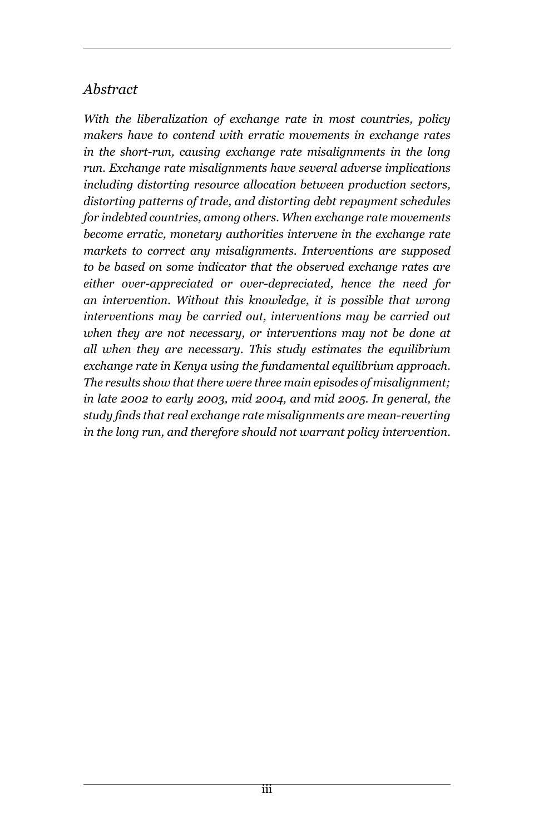# *Abstract*

*With the liberalization of exchange rate in most countries, policy makers have to contend with erratic movements in exchange rates in the short-run, causing exchange rate misalignments in the long run. Exchange rate misalignments have several adverse implications including distorting resource allocation between production sectors, distorting patterns of trade, and distorting debt repayment schedules for indebted countries, among others. When exchange rate movements become erratic, monetary authorities intervene in the exchange rate markets to correct any misalignments. Interventions are supposed to be based on some indicator that the observed exchange rates are either over-appreciated or over-depreciated, hence the need for an intervention. Without this knowledge, it is possible that wrong interventions may be carried out, interventions may be carried out when they are not necessary, or interventions may not be done at all when they are necessary. This study estimates the equilibrium exchange rate in Kenya using the fundamental equilibrium approach. The results show that there were three main episodes of misalignment; in late 2002 to early 2003, mid 2004, and mid 2005. In general, the study finds that real exchange rate misalignments are mean-reverting in the long run, and therefore should not warrant policy intervention.*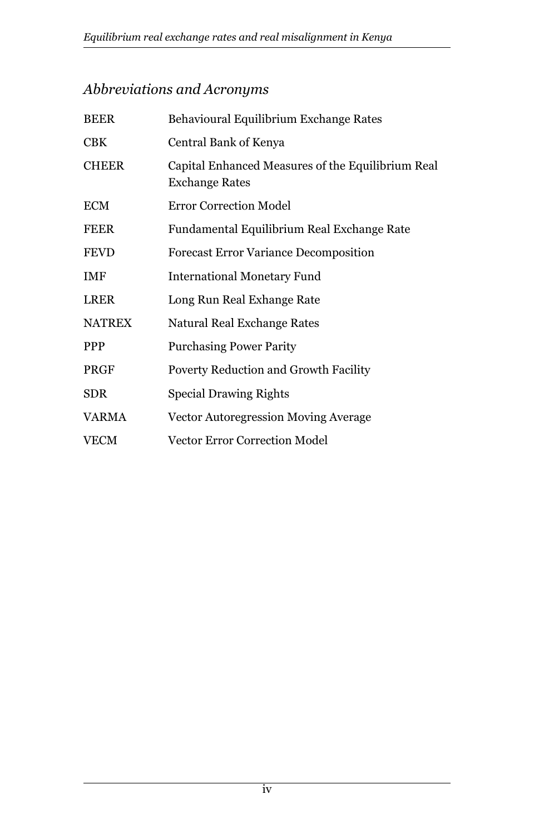# *Abbreviations and Acronyms*

| <b>BEER</b>   | Behavioural Equilibrium Exchange Rates                                     |
|---------------|----------------------------------------------------------------------------|
| <b>CBK</b>    | Central Bank of Kenya                                                      |
| <b>CHEER</b>  | Capital Enhanced Measures of the Equilibrium Real<br><b>Exchange Rates</b> |
| <b>ECM</b>    | <b>Error Correction Model</b>                                              |
| <b>FEER</b>   | Fundamental Equilibrium Real Exchange Rate                                 |
| <b>FEVD</b>   | <b>Forecast Error Variance Decomposition</b>                               |
| <b>IMF</b>    | <b>International Monetary Fund</b>                                         |
| <b>LRER</b>   | Long Run Real Exhange Rate                                                 |
| <b>NATREX</b> | Natural Real Exchange Rates                                                |
| <b>PPP</b>    | <b>Purchasing Power Parity</b>                                             |
| <b>PRGF</b>   | Poverty Reduction and Growth Facility                                      |
| <b>SDR</b>    | <b>Special Drawing Rights</b>                                              |
| VARMA         | Vector Autoregression Moving Average                                       |
| <b>VECM</b>   | <b>Vector Error Correction Model</b>                                       |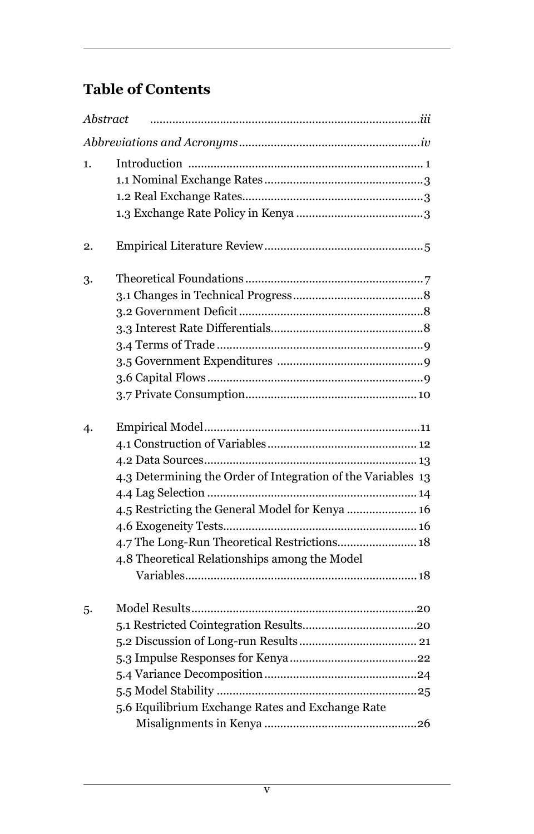# **Table of Contents**

| Abstract |                                                                                                                                                                                                                  |
|----------|------------------------------------------------------------------------------------------------------------------------------------------------------------------------------------------------------------------|
|          |                                                                                                                                                                                                                  |
| 1.       |                                                                                                                                                                                                                  |
| 2.       |                                                                                                                                                                                                                  |
| 3.       |                                                                                                                                                                                                                  |
| 4.       | 4.3 Determining the Order of Integration of the Variables 13<br>4.5 Restricting the General Model for Kenya  16<br>4.7 The Long-Run Theoretical Restrictions 18<br>4.8 Theoretical Relationships among the Model |
| 5.       | 5.6 Equilibrium Exchange Rates and Exchange Rate                                                                                                                                                                 |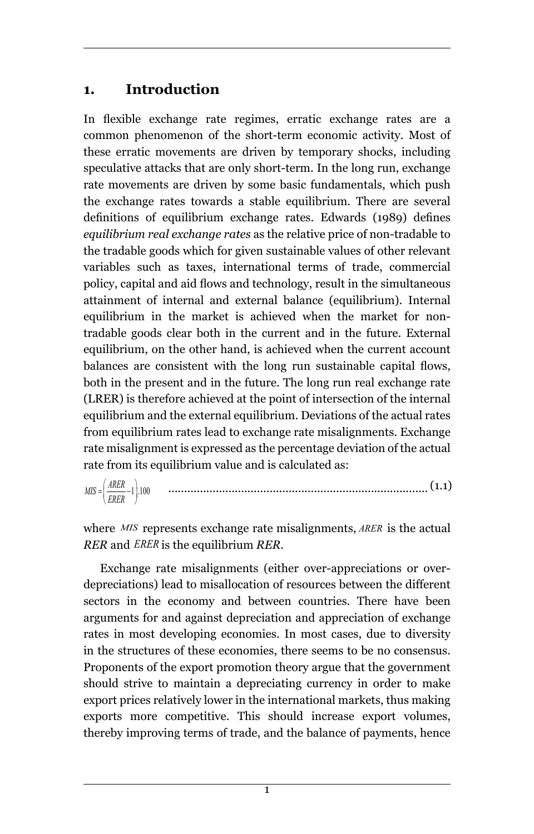# **1. Introduction**

In flexible exchange rate regimes, erratic exchange rates are a common phenomenon of the short-term economic activity. Most of these erratic movements are driven by temporary shocks, including speculative attacks that are only short-term. In the long run, exchange rate movements are driven by some basic fundamentals, which push the exchange rates towards a stable equilibrium. There are several definitions of equilibrium exchange rates. Edwards (1989) defines *equilibrium real exchange rates* as the relative price of non-tradable to the tradable goods which for given sustainable values of other relevant variables such as taxes, international terms of trade, commercial policy, capital and aid flows and technology, result in the simultaneous attainment of internal and external balance (equilibrium). Internal equilibrium in the market is achieved when the market for nontradable goods clear both in the current and in the future. External equilibrium, on the other hand, is achieved when the current account balances are consistent with the long run sustainable capital flows, both in the present and in the future. The long run real exchange rate (LRER) is therefore achieved at the point of intersection of the internal equilibrium and the external equilibrium. Deviations of the actual rates from equilibrium rates lead to exchange rate misalignments. Exchange rate misalignment is expressed as the percentage deviation of the actual rate from its equilibrium value and is calculated as:

 .................................................................................. (1.1)  $MIS = \left(\frac{AKER}{ERER} - 1\right).100$ 

where *MIS* represents exchange rate misalignments, ARER is the actual *RER* and *ERER* is the equilibrium *RER*.

Exchange rate misalignments (either over-appreciations or overdepreciations) lead to misallocation of resources between the different sectors in the economy and between countries. There have been arguments for and against depreciation and appreciation of exchange rates in most developing economies. In most cases, due to diversity in the structures of these economies, there seems to be no consensus. Proponents of the export promotion theory argue that the government should strive to maintain a depreciating currency in order to make export prices relatively lower in the international markets, thus making exports more competitive. This should increase export volumes, thereby improving terms of trade, and the balance of payments, hence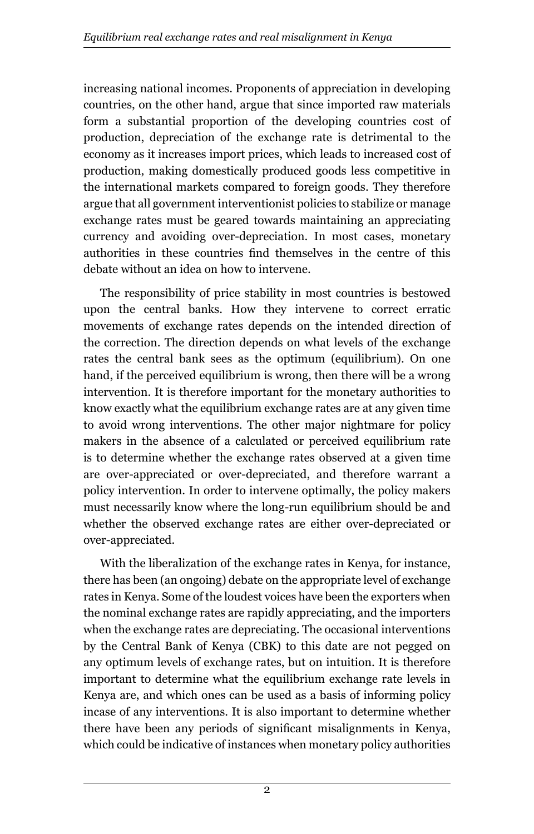increasing national incomes. Proponents of appreciation in developing countries, on the other hand, argue that since imported raw materials form a substantial proportion of the developing countries cost of production, depreciation of the exchange rate is detrimental to the economy as it increases import prices, which leads to increased cost of production, making domestically produced goods less competitive in the international markets compared to foreign goods. They therefore argue that all government interventionist policies to stabilize or manage exchange rates must be geared towards maintaining an appreciating currency and avoiding over-depreciation. In most cases, monetary authorities in these countries find themselves in the centre of this debate without an idea on how to intervene.

The responsibility of price stability in most countries is bestowed upon the central banks. How they intervene to correct erratic movements of exchange rates depends on the intended direction of the correction. The direction depends on what levels of the exchange rates the central bank sees as the optimum (equilibrium). On one hand, if the perceived equilibrium is wrong, then there will be a wrong intervention. It is therefore important for the monetary authorities to know exactly what the equilibrium exchange rates are at any given time to avoid wrong interventions. The other major nightmare for policy makers in the absence of a calculated or perceived equilibrium rate is to determine whether the exchange rates observed at a given time are over-appreciated or over-depreciated, and therefore warrant a policy intervention. In order to intervene optimally, the policy makers must necessarily know where the long-run equilibrium should be and whether the observed exchange rates are either over-depreciated or over-appreciated.

With the liberalization of the exchange rates in Kenya, for instance, there has been (an ongoing) debate on the appropriate level of exchange rates in Kenya. Some of the loudest voices have been the exporters when the nominal exchange rates are rapidly appreciating, and the importers when the exchange rates are depreciating. The occasional interventions by the Central Bank of Kenya (CBK) to this date are not pegged on any optimum levels of exchange rates, but on intuition. It is therefore important to determine what the equilibrium exchange rate levels in Kenya are, and which ones can be used as a basis of informing policy incase of any interventions. It is also important to determine whether there have been any periods of significant misalignments in Kenya, which could be indicative of instances when monetary policy authorities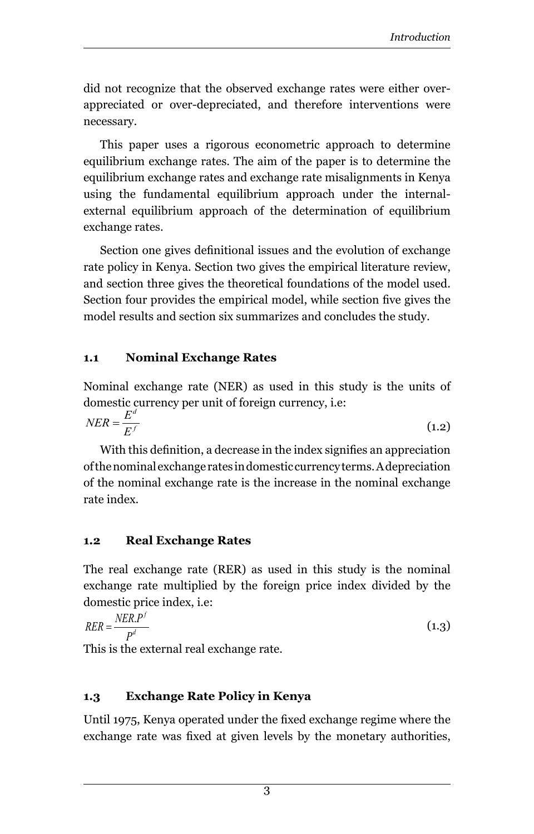did not recognize that the observed exchange rates were either overappreciated or over-depreciated, and therefore interventions were necessary.

This paper uses a rigorous econometric approach to determine equilibrium exchange rates. The aim of the paper is to determine the equilibrium exchange rates and exchange rate misalignments in Kenya using the fundamental equilibrium approach under the internalexternal equilibrium approach of the determination of equilibrium exchange rates.

Section one gives definitional issues and the evolution of exchange rate policy in Kenya. Section two gives the empirical literature review, and section three gives the theoretical foundations of the model used. Section four provides the empirical model, while section five gives the model results and section six summarizes and concludes the study.

#### **1.1 Nominal Exchange Rates**

Nominal exchange rate (NER) as used in this study is the units of domestic currency per unit of foreign currency, i.e:

$$
NER = \frac{E^d}{E^f}
$$
 (1.2)

With this definition, a decrease in the index signifies an appreciation of the nominal exchange rates in domestic currency terms. A depreciation of the nominal exchange rate is the increase in the nominal exchange rate index.

#### **1.2 Real Exchange Rates**

The real exchange rate (RER) as used in this study is the nominal exchange rate multiplied by the foreign price index divided by the domestic price index, i.e:

 $RER = \frac{NER \cdot P'}{P}$  (1.3)  $RER = \frac{NER.P}{P^d}$ 

This is the external real exchange rate.

# **1.3 Exchange Rate Policy in Kenya**

Until 1975, Kenya operated under the fixed exchange regime where the exchange rate was fixed at given levels by the monetary authorities,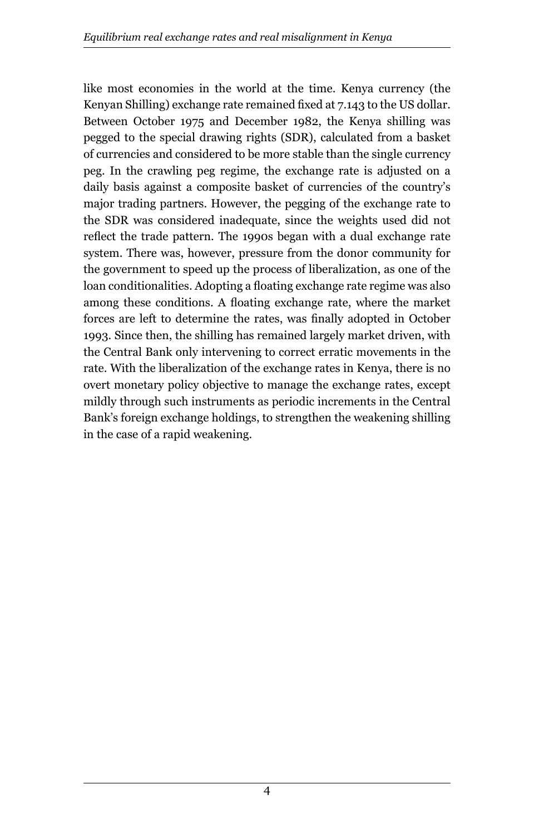like most economies in the world at the time. Kenya currency (the Kenyan Shilling) exchange rate remained fixed at 7.143 to the US dollar. Between October 1975 and December 1982, the Kenya shilling was pegged to the special drawing rights (SDR), calculated from a basket of currencies and considered to be more stable than the single currency peg. In the crawling peg regime, the exchange rate is adjusted on a daily basis against a composite basket of currencies of the country's major trading partners. However, the pegging of the exchange rate to the SDR was considered inadequate, since the weights used did not reflect the trade pattern. The 1990s began with a dual exchange rate system. There was, however, pressure from the donor community for the government to speed up the process of liberalization, as one of the loan conditionalities. Adopting a floating exchange rate regime was also among these conditions. A floating exchange rate, where the market forces are left to determine the rates, was finally adopted in October 1993. Since then, the shilling has remained largely market driven, with the Central Bank only intervening to correct erratic movements in the rate. With the liberalization of the exchange rates in Kenya, there is no overt monetary policy objective to manage the exchange rates, except mildly through such instruments as periodic increments in the Central Bank's foreign exchange holdings, to strengthen the weakening shilling in the case of a rapid weakening.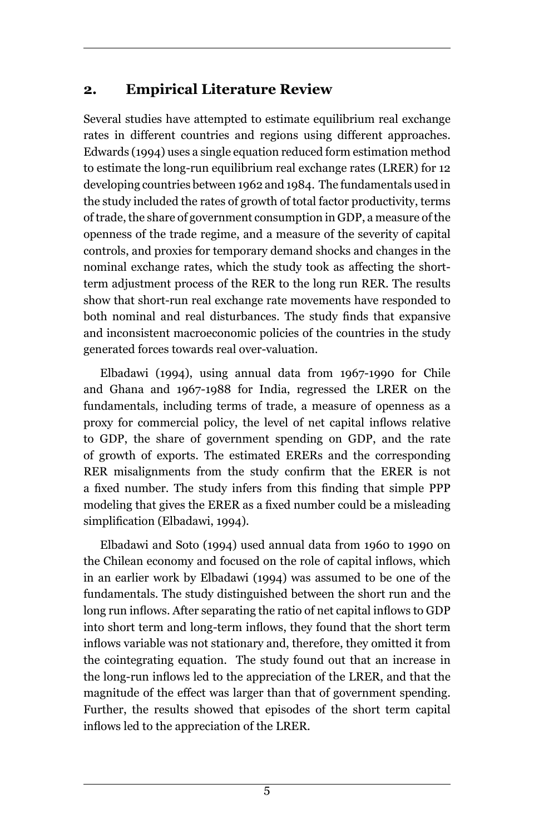# **2. Empirical Literature Review**

Several studies have attempted to estimate equilibrium real exchange rates in different countries and regions using different approaches. Edwards (1994) uses a single equation reduced form estimation method to estimate the long-run equilibrium real exchange rates (LRER) for 12 developing countries between 1962 and 1984. The fundamentals used in the study included the rates of growth of total factor productivity, terms of trade, the share of government consumption in GDP, a measure of the openness of the trade regime, and a measure of the severity of capital controls, and proxies for temporary demand shocks and changes in the nominal exchange rates, which the study took as affecting the shortterm adjustment process of the RER to the long run RER. The results show that short-run real exchange rate movements have responded to both nominal and real disturbances. The study finds that expansive and inconsistent macroeconomic policies of the countries in the study generated forces towards real over-valuation.

Elbadawi (1994), using annual data from 1967-1990 for Chile and Ghana and 1967-1988 for India, regressed the LRER on the fundamentals, including terms of trade, a measure of openness as a proxy for commercial policy, the level of net capital inflows relative to GDP, the share of government spending on GDP, and the rate of growth of exports. The estimated ERERs and the corresponding RER misalignments from the study confirm that the ERER is not a fixed number. The study infers from this finding that simple PPP modeling that gives the ERER as a fixed number could be a misleading simplification (Elbadawi, 1994).

Elbadawi and Soto (1994) used annual data from 1960 to 1990 on the Chilean economy and focused on the role of capital inflows, which in an earlier work by Elbadawi (1994) was assumed to be one of the fundamentals. The study distinguished between the short run and the long run inflows. After separating the ratio of net capital inflows to GDP into short term and long-term inflows, they found that the short term inflows variable was not stationary and, therefore, they omitted it from the cointegrating equation. The study found out that an increase in the long-run inflows led to the appreciation of the LRER, and that the magnitude of the effect was larger than that of government spending. Further, the results showed that episodes of the short term capital inflows led to the appreciation of the LRER.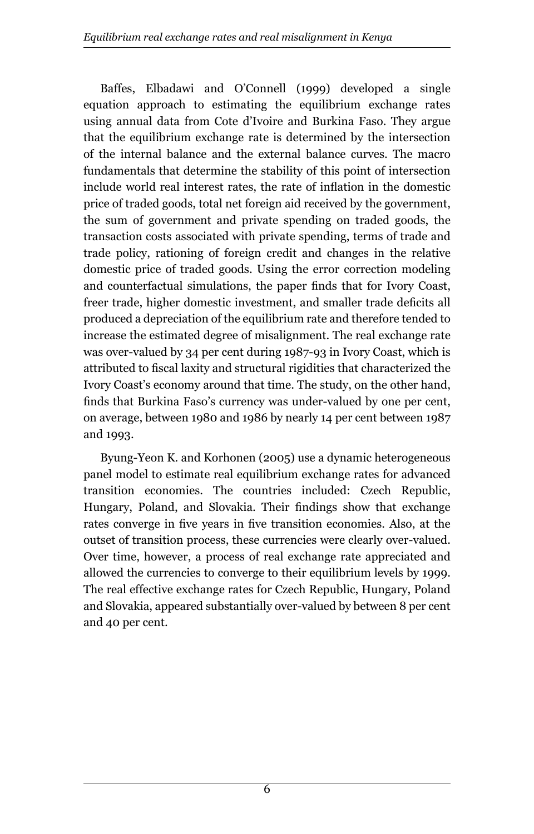Baffes, Elbadawi and O'Connell (1999) developed a single equation approach to estimating the equilibrium exchange rates using annual data from Cote d'Ivoire and Burkina Faso. They argue that the equilibrium exchange rate is determined by the intersection of the internal balance and the external balance curves. The macro fundamentals that determine the stability of this point of intersection include world real interest rates, the rate of inflation in the domestic price of traded goods, total net foreign aid received by the government, the sum of government and private spending on traded goods, the transaction costs associated with private spending, terms of trade and trade policy, rationing of foreign credit and changes in the relative domestic price of traded goods. Using the error correction modeling and counterfactual simulations, the paper finds that for Ivory Coast, freer trade, higher domestic investment, and smaller trade deficits all produced a depreciation of the equilibrium rate and therefore tended to increase the estimated degree of misalignment. The real exchange rate was over-valued by 34 per cent during 1987-93 in Ivory Coast, which is attributed to fiscal laxity and structural rigidities that characterized the Ivory Coast's economy around that time. The study, on the other hand, finds that Burkina Faso's currency was under-valued by one per cent, on average, between 1980 and 1986 by nearly 14 per cent between 1987 and 1993.

Byung-Yeon K. and Korhonen (2005) use a dynamic heterogeneous panel model to estimate real equilibrium exchange rates for advanced transition economies. The countries included: Czech Republic, Hungary, Poland, and Slovakia. Their findings show that exchange rates converge in five years in five transition economies. Also, at the outset of transition process, these currencies were clearly over-valued. Over time, however, a process of real exchange rate appreciated and allowed the currencies to converge to their equilibrium levels by 1999. The real effective exchange rates for Czech Republic, Hungary, Poland and Slovakia, appeared substantially over-valued by between 8 per cent and 40 per cent.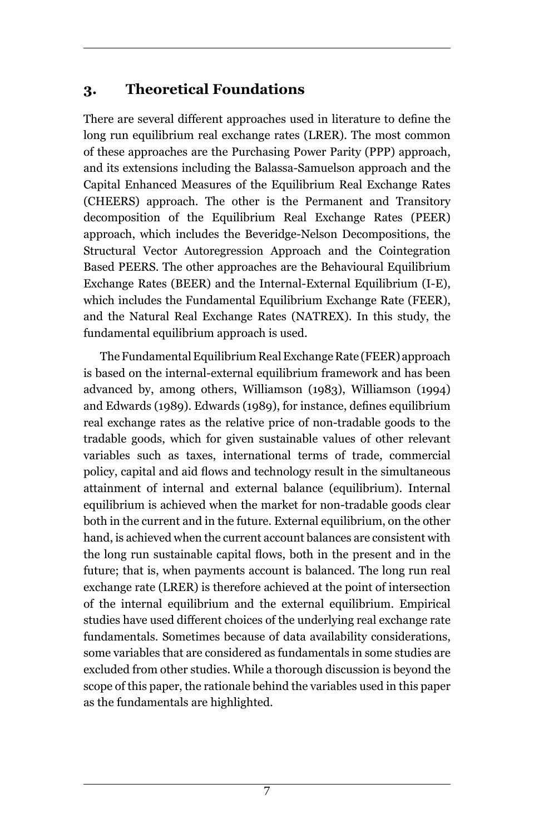# **3. Theoretical Foundations**

There are several different approaches used in literature to define the long run equilibrium real exchange rates (LRER). The most common of these approaches are the Purchasing Power Parity (PPP) approach, and its extensions including the Balassa-Samuelson approach and the Capital Enhanced Measures of the Equilibrium Real Exchange Rates (CHEERS) approach. The other is the Permanent and Transitory decomposition of the Equilibrium Real Exchange Rates (PEER) approach, which includes the Beveridge-Nelson Decompositions, the Structural Vector Autoregression Approach and the Cointegration Based PEERS. The other approaches are the Behavioural Equilibrium Exchange Rates (BEER) and the Internal-External Equilibrium (I-E), which includes the Fundamental Equilibrium Exchange Rate (FEER), and the Natural Real Exchange Rates (NATREX). In this study, the fundamental equilibrium approach is used.

The Fundamental Equilibrium Real Exchange Rate (FEER) approach is based on the internal-external equilibrium framework and has been advanced by, among others, Williamson (1983), Williamson (1994) and Edwards (1989). Edwards (1989), for instance, defines equilibrium real exchange rates as the relative price of non-tradable goods to the tradable goods, which for given sustainable values of other relevant variables such as taxes, international terms of trade, commercial policy, capital and aid flows and technology result in the simultaneous attainment of internal and external balance (equilibrium). Internal equilibrium is achieved when the market for non-tradable goods clear both in the current and in the future. External equilibrium, on the other hand, is achieved when the current account balances are consistent with the long run sustainable capital flows, both in the present and in the future; that is, when payments account is balanced. The long run real exchange rate (LRER) is therefore achieved at the point of intersection of the internal equilibrium and the external equilibrium. Empirical studies have used different choices of the underlying real exchange rate fundamentals. Sometimes because of data availability considerations, some variables that are considered as fundamentals in some studies are excluded from other studies. While a thorough discussion is beyond the scope of this paper, the rationale behind the variables used in this paper as the fundamentals are highlighted.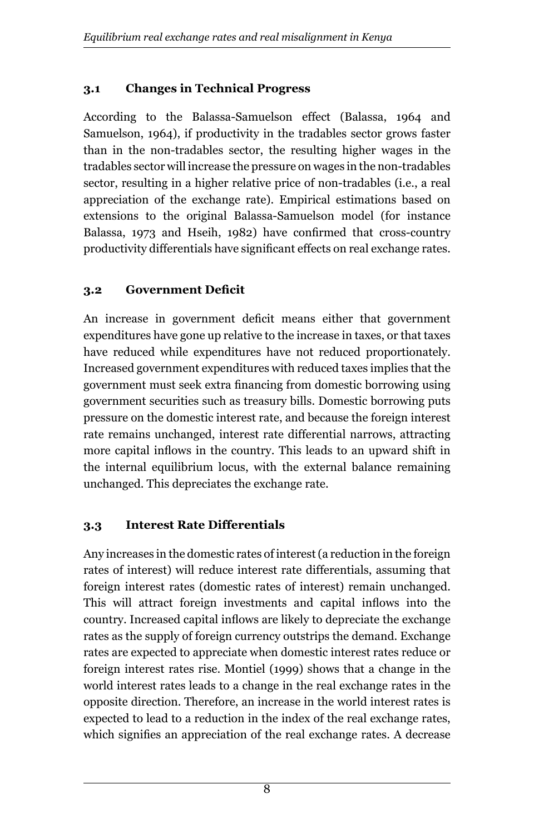### **3.1 Changes in Technical Progress**

According to the Balassa-Samuelson effect (Balassa, 1964 and Samuelson, 1964), if productivity in the tradables sector grows faster than in the non-tradables sector, the resulting higher wages in the tradables sector will increase the pressure on wages in the non-tradables sector, resulting in a higher relative price of non-tradables (i.e., a real appreciation of the exchange rate). Empirical estimations based on extensions to the original Balassa-Samuelson model (for instance Balassa, 1973 and Hseih, 1982) have confirmed that cross-country productivity differentials have significant effects on real exchange rates.

### **3.2 Government Deficit**

An increase in government deficit means either that government expenditures have gone up relative to the increase in taxes, or that taxes have reduced while expenditures have not reduced proportionately. Increased government expenditures with reduced taxes implies that the government must seek extra financing from domestic borrowing using government securities such as treasury bills. Domestic borrowing puts pressure on the domestic interest rate, and because the foreign interest rate remains unchanged, interest rate differential narrows, attracting more capital inflows in the country. This leads to an upward shift in the internal equilibrium locus, with the external balance remaining unchanged. This depreciates the exchange rate.

#### **3.3 Interest Rate Differentials**

Any increases in the domestic rates of interest (a reduction in the foreign rates of interest) will reduce interest rate differentials, assuming that foreign interest rates (domestic rates of interest) remain unchanged. This will attract foreign investments and capital inflows into the country. Increased capital inflows are likely to depreciate the exchange rates as the supply of foreign currency outstrips the demand. Exchange rates are expected to appreciate when domestic interest rates reduce or foreign interest rates rise. Montiel (1999) shows that a change in the world interest rates leads to a change in the real exchange rates in the opposite direction. Therefore, an increase in the world interest rates is expected to lead to a reduction in the index of the real exchange rates, which signifies an appreciation of the real exchange rates. A decrease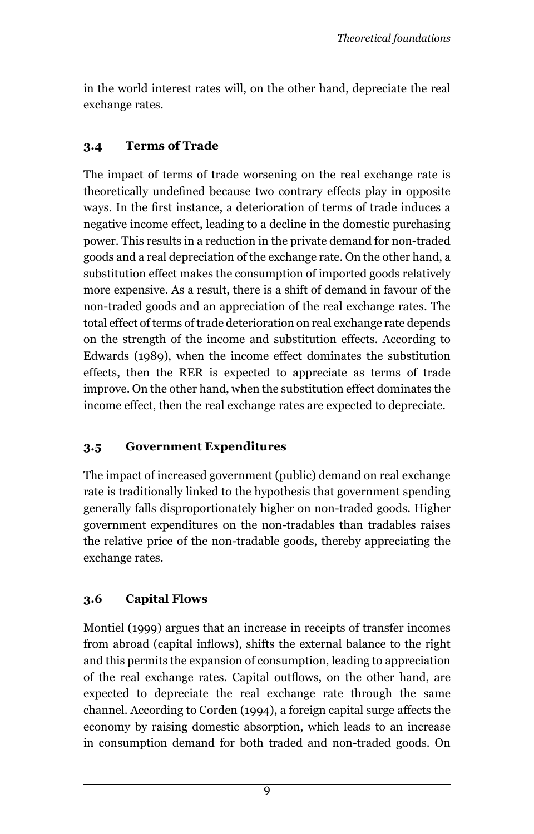in the world interest rates will, on the other hand, depreciate the real exchange rates.

# **3.4 Terms of Trade**

The impact of terms of trade worsening on the real exchange rate is theoretically undefined because two contrary effects play in opposite ways. In the first instance, a deterioration of terms of trade induces a negative income effect, leading to a decline in the domestic purchasing power. This results in a reduction in the private demand for non-traded goods and a real depreciation of the exchange rate. On the other hand, a substitution effect makes the consumption of imported goods relatively more expensive. As a result, there is a shift of demand in favour of the non-traded goods and an appreciation of the real exchange rates. The total effect of terms of trade deterioration on real exchange rate depends on the strength of the income and substitution effects. According to Edwards (1989), when the income effect dominates the substitution effects, then the RER is expected to appreciate as terms of trade improve. On the other hand, when the substitution effect dominates the income effect, then the real exchange rates are expected to depreciate.

# **3.5 Government Expenditures**

The impact of increased government (public) demand on real exchange rate is traditionally linked to the hypothesis that government spending generally falls disproportionately higher on non-traded goods. Higher government expenditures on the non-tradables than tradables raises the relative price of the non-tradable goods, thereby appreciating the exchange rates.

# **3.6 Capital Flows**

Montiel (1999) argues that an increase in receipts of transfer incomes from abroad (capital inflows), shifts the external balance to the right and this permits the expansion of consumption, leading to appreciation of the real exchange rates. Capital outflows, on the other hand, are expected to depreciate the real exchange rate through the same channel. According to Corden (1994), a foreign capital surge affects the economy by raising domestic absorption, which leads to an increase in consumption demand for both traded and non-traded goods. On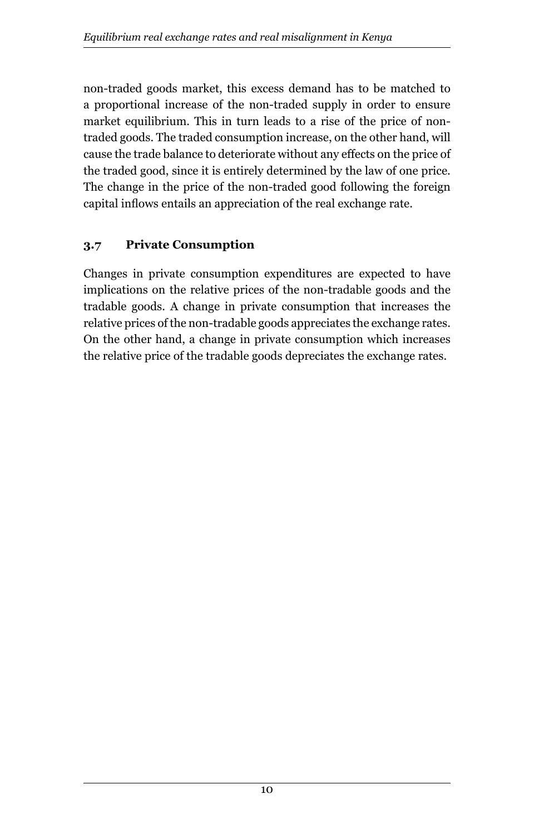non-traded goods market, this excess demand has to be matched to a proportional increase of the non-traded supply in order to ensure market equilibrium. This in turn leads to a rise of the price of nontraded goods. The traded consumption increase, on the other hand, will cause the trade balance to deteriorate without any effects on the price of the traded good, since it is entirely determined by the law of one price. The change in the price of the non-traded good following the foreign capital inflows entails an appreciation of the real exchange rate.

### **3.7 Private Consumption**

Changes in private consumption expenditures are expected to have implications on the relative prices of the non-tradable goods and the tradable goods. A change in private consumption that increases the relative prices of the non-tradable goods appreciates the exchange rates. On the other hand, a change in private consumption which increases the relative price of the tradable goods depreciates the exchange rates.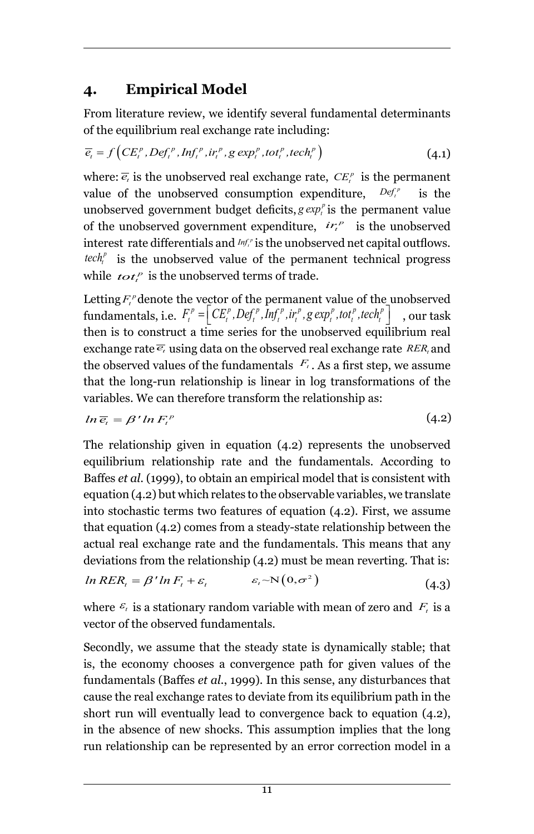# **4. Empirical Model**

From literature review, we identify several fundamental determinants of the equilibrium real exchange rate including:

$$
\overline{e}_{t} = f\left(CE_{t}^{p}, Def_{t}^{p}, Inf_{t}^{p}, ir_{t}^{p}, g \exp_{t}^{p}, tot_{t}^{p}, tech_{t}^{p}\right)
$$
\n(4.1)

where:  $\overline{e}_t$  is the unobserved real exchange rate,  $CE_t^p$  is the permanent value of the unobserved consumption expenditure,  $Def_t^p$  is the unobserved government budget deficits,  $g \exp_i^p$  is the permanent value of the unobserved government expenditure,  $ir_i^p$  is the unobserved interest rate differentials and  $Inf<sup>p</sup>$  is the unobserved net capital outflows. *tech*<sup> $p$ </sup> is the unobserved value of the permanent technical progress while  $\mathbf{tot}_t^P$  is the unobserved terms of trade.

Letting  $F_t^{\rho}$  denote the vector of the permanent value of the unobserved  ${\rm fundamentals, i.e.}$   $F_t^p = \left[ CE_t^p, Def_t^p, Inf_t^p, ir_t^p, g \exp_t^p, tot_t^p, tech_t^p \right]$  , our task then is to construct a time series for the unobserved equilibrium real exchange rate  $\overline{e_t}$  using data on the observed real exchange rate  $RER_t$  and the observed values of the fundamentals  $F_t$ . As a first step, we assume that the long-run relationship is linear in log transformations of the variables. We can therefore transform the relationship as:

$$
ln \overline{e}_i = \beta' ln F_i^p \tag{4.2}
$$

The relationship given in equation (4.2) represents the unobserved equilibrium relationship rate and the fundamentals. According to Baffes *et al*. (1999), to obtain an empirical model that is consistent with equation (4.2) but which relates to the observable variables, we translate into stochastic terms two features of equation (4.2). First, we assume that equation (4.2) comes from a steady-state relationship between the actual real exchange rate and the fundamentals. This means that any deviations from the relationship (4.2) must be mean reverting. That is:

$$
ln RER_t = \beta' ln F_t + \varepsilon_t \qquad \qquad \varepsilon_t \sim N(0, \sigma^2)
$$
\n(4.3)

where  $\varepsilon$ <sub>*t*</sub> is a stationary random variable with mean of zero and  $F_t$  is a vector of the observed fundamentals.

Secondly, we assume that the steady state is dynamically stable; that is, the economy chooses a convergence path for given values of the fundamentals (Baffes *et al.*, 1999). In this sense, any disturbances that cause the real exchange rates to deviate from its equilibrium path in the short run will eventually lead to convergence back to equation (4.2), in the absence of new shocks. This assumption implies that the long run relationship can be represented by an error correction model in a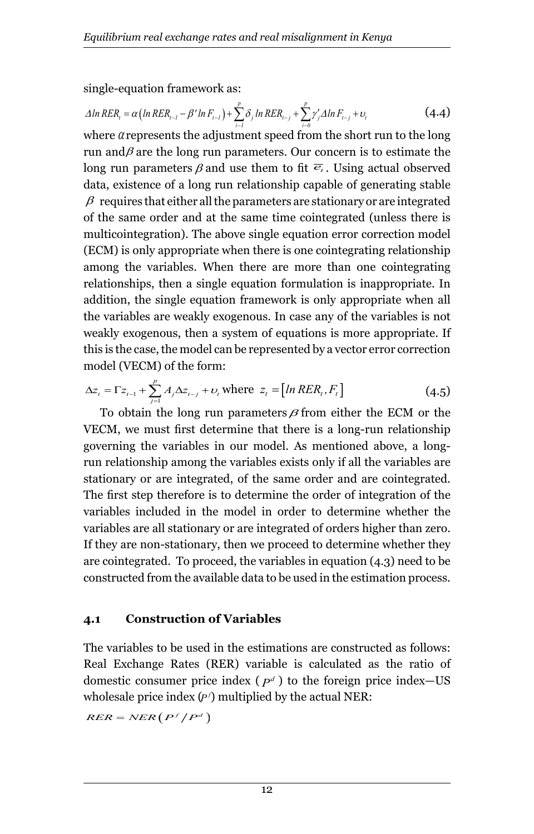single-equation framework as:

$$
\Delta \ln RER_{i} = \alpha \left( \ln RER_{i-1} - \beta' \ln F_{i-1} \right) + \sum_{i=1}^{p} \delta_{j} \ln RER_{i-j} + \sum_{i=0}^{p} \gamma'_{j} \Delta \ln F_{i-j} + \nu_{i}
$$
(4.4)

where  $\alpha$  represents the adjustment speed from the short run to the long run and $\beta$  are the long run parameters. Our concern is to estimate the long run parameters  $\beta$  and use them to fit  $\overline{e}_t$ . Using actual observed data, existence of a long run relationship capable of generating stable  $\beta$  requires that either all the parameters are stationary or are integrated of the same order and at the same time cointegrated (unless there is multicointegration). The above single equation error correction model (ECM) is only appropriate when there is one cointegrating relationship among the variables. When there are more than one cointegrating relationships, then a single equation formulation is inappropriate. In addition, the single equation framework is only appropriate when all the variables are weakly exogenous. In case any of the variables is not weakly exogenous, then a system of equations is more appropriate. If this is the case, the model can be represented by a vector error correction model (VECM) of the form:

$$
\Delta z_{t} = \Gamma z_{t-1} + \sum_{j=1}^{p} A_{j} \Delta z_{t-j} + o_{t} \text{ where } z_{t} = [ln RER_{t}, F_{t}]
$$
\n(4.5)

To obtain the long run parameters  $\beta$  from either the ECM or the VECM, we must first determine that there is a long-run relationship governing the variables in our model. As mentioned above, a longrun relationship among the variables exists only if all the variables are stationary or are integrated, of the same order and are cointegrated. The first step therefore is to determine the order of integration of the variables included in the model in order to determine whether the variables are all stationary or are integrated of orders higher than zero. If they are non-stationary, then we proceed to determine whether they are cointegrated. To proceed, the variables in equation (4.3) need to be constructed from the available data to be used in the estimation process.

#### **4.1 Construction of Variables**

The variables to be used in the estimations are constructed as follows: Real Exchange Rates (RER) variable is calculated as the ratio of domestic consumer price index  $(p^d)$  to the foreign price index-US wholesale price index (P') multiplied by the actual NER:

 $RER = NER(P^f/P^d)$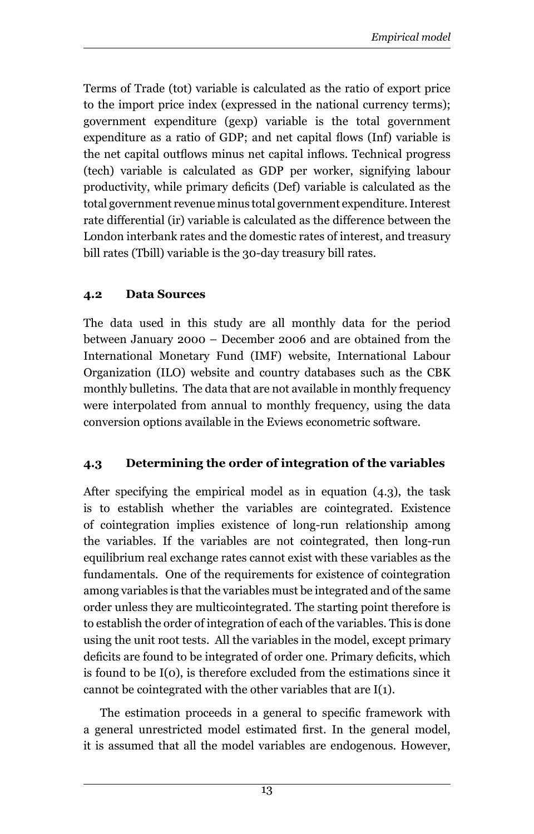Terms of Trade (tot) variable is calculated as the ratio of export price to the import price index (expressed in the national currency terms); government expenditure (gexp) variable is the total government expenditure as a ratio of GDP; and net capital flows (Inf) variable is the net capital outflows minus net capital inflows. Technical progress (tech) variable is calculated as GDP per worker, signifying labour productivity, while primary deficits (Def) variable is calculated as the total government revenue minus total government expenditure. Interest rate differential (ir) variable is calculated as the difference between the London interbank rates and the domestic rates of interest, and treasury bill rates (Tbill) variable is the 30-day treasury bill rates.

#### **4.2 Data Sources**

The data used in this study are all monthly data for the period between January 2000 – December 2006 and are obtained from the International Monetary Fund (IMF) website, International Labour Organization (ILO) website and country databases such as the CBK monthly bulletins. The data that are not available in monthly frequency were interpolated from annual to monthly frequency, using the data conversion options available in the Eviews econometric software.

#### **4.3 Determining the order of integration of the variables**

After specifying the empirical model as in equation (4.3), the task is to establish whether the variables are cointegrated. Existence of cointegration implies existence of long-run relationship among the variables. If the variables are not cointegrated, then long-run equilibrium real exchange rates cannot exist with these variables as the fundamentals. One of the requirements for existence of cointegration among variables is that the variables must be integrated and of the same order unless they are multicointegrated. The starting point therefore is to establish the order of integration of each of the variables. This is done using the unit root tests. All the variables in the model, except primary deficits are found to be integrated of order one. Primary deficits, which is found to be I(0), is therefore excluded from the estimations since it cannot be cointegrated with the other variables that are I(1).

The estimation proceeds in a general to specific framework with a general unrestricted model estimated first. In the general model, it is assumed that all the model variables are endogenous. However,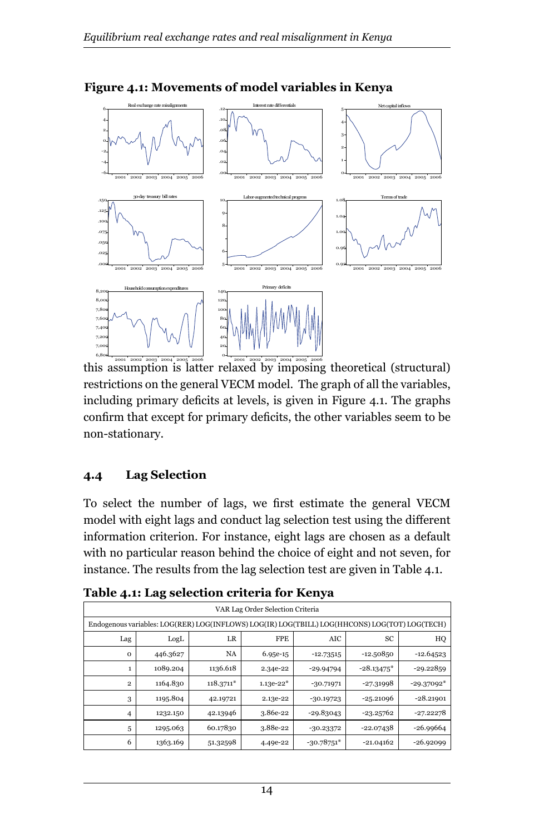

**Figure 4.1: Movements of model variables in Kenya**

this assumption is latter relaxed by imposing theoretical (structural) 2001 2002 2003 2004 2005 2006 2001 2002 2003 2004 2005 2006 restrictions on the general VECM model. The graph of all the variables, including primary deficits at levels, is given in Figure 4.1. The graphs confirm that except for primary deficits, the other variables seem to be non-stationary.

#### **4.4 Lag Selection**

To select the number of lags, we first estimate the general VECM model with eight lags and conduct lag selection test using the different information criterion. For instance, eight lags are chosen as a default with no particular reason behind the choice of eight and not seven, for instance. The results from the lag selection test are given in Table 4.1.

| VAR Lag Order Selection Criteria                                                              |          |             |             |              |              |              |  |  |  |  |
|-----------------------------------------------------------------------------------------------|----------|-------------|-------------|--------------|--------------|--------------|--|--|--|--|
| Endogenous variables: LOG(RER) LOG(INFLOWS) LOG(IR) LOG(TBILL) LOG(HHCONS) LOG(TOT) LOG(TECH) |          |             |             |              |              |              |  |  |  |  |
| <b>FPE</b><br>SC<br>LR<br>AIC<br>LogL<br>Lag                                                  |          |             |             |              |              |              |  |  |  |  |
| $\mathbf 0$                                                                                   | 446.3627 | NA          | 6.95e-15    | $-12.73515$  | -12.50850    | $-12.64523$  |  |  |  |  |
| 1                                                                                             | 1089.204 | 1136.618    | 2.34e-22    | $-29.94794$  | $-28.13475*$ | -29.22859    |  |  |  |  |
| $\overline{2}$                                                                                | 1164.830 | $118.3711*$ | $1.13e-22*$ | $-30.71971$  | $-27.31998$  | $-29.37092*$ |  |  |  |  |
| 3                                                                                             | 1195.804 | 42.19721    | 2.13e-22    | $-30.19723$  | $-25.21096$  | $-28.21901$  |  |  |  |  |
| 4                                                                                             | 1232.150 | 42.13946    | 3.86e-22    | $-29.83043$  | -23.25762    | $-27.22278$  |  |  |  |  |
| 5                                                                                             | 1295.063 | 60.17830    | 3.88e-22    | $-30.23372$  | -22.07438    | -26.99664    |  |  |  |  |
| 6                                                                                             | 1363.169 | 51.32598    | 4.49e-22    | $-30.78751*$ | $-21.04162$  | $-26.92099$  |  |  |  |  |

**Table 4.1: Lag selection criteria for Kenya**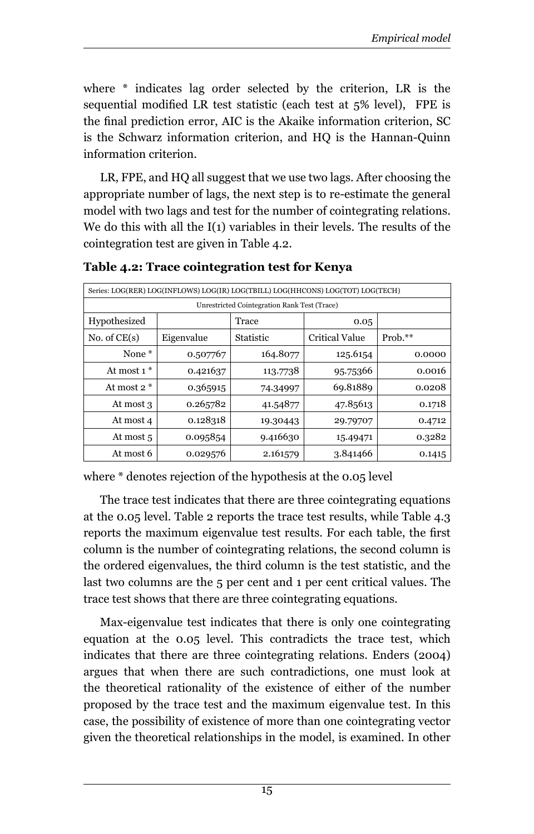where \* indicates lag order selected by the criterion, LR is the sequential modified LR test statistic (each test at 5% level), FPE is the final prediction error, AIC is the Akaike information criterion, SC is the Schwarz information criterion, and HQ is the Hannan-Quinn information criterion.

LR, FPE, and HQ all suggest that we use two lags. After choosing the appropriate number of lags, the next step is to re-estimate the general model with two lags and test for the number of cointegrating relations. We do this with all the I(1) variables in their levels. The results of the cointegration test are given in Table 4.2.

| Series: LOG(RER) LOG(INFLOWS) LOG(IR) LOG(TBILL) LOG(HHCONS) LOG(TOT) LOG(TECH) |            |           |                       |            |  |  |  |  |
|---------------------------------------------------------------------------------|------------|-----------|-----------------------|------------|--|--|--|--|
| Unrestricted Cointegration Rank Test (Trace)                                    |            |           |                       |            |  |  |  |  |
| Hypothesized<br>Trace<br>0.05                                                   |            |           |                       |            |  |  |  |  |
| No. of $CE(s)$                                                                  | Eigenvalue | Statistic | <b>Critical Value</b> | Prob. $**$ |  |  |  |  |
| None <sup>*</sup>                                                               | 0.507767   | 164.8077  | 125.6154              | 0.0000     |  |  |  |  |
| At most $1 *$                                                                   | 0.421637   | 113.7738  | 95.75366              | 0.0016     |  |  |  |  |
| At most $2 *$                                                                   | 0.365915   | 74.34997  | 69.81889              | 0.0208     |  |  |  |  |
| At most 3                                                                       | 0.265782   | 41.54877  | 47.85613              | 0.1718     |  |  |  |  |
| At most 4                                                                       | 0.128318   | 19.30443  | 29.79707              | 0.4712     |  |  |  |  |
| At most 5                                                                       | 0.095854   | 9.416630  | 15.49471              | 0.3282     |  |  |  |  |
| At most 6                                                                       | 0.029576   | 2.161579  | 3.841466              | 0.1415     |  |  |  |  |

**Table 4.2: Trace cointegration test for Kenya**

where \* denotes rejection of the hypothesis at the 0.05 level

The trace test indicates that there are three cointegrating equations at the 0.05 level. Table 2 reports the trace test results, while Table 4.3 reports the maximum eigenvalue test results. For each table, the first column is the number of cointegrating relations, the second column is the ordered eigenvalues, the third column is the test statistic, and the last two columns are the 5 per cent and 1 per cent critical values. The trace test shows that there are three cointegrating equations.

Max-eigenvalue test indicates that there is only one cointegrating equation at the 0.05 level. This contradicts the trace test, which indicates that there are three cointegrating relations. Enders (2004) argues that when there are such contradictions, one must look at the theoretical rationality of the existence of either of the number proposed by the trace test and the maximum eigenvalue test. In this case, the possibility of existence of more than one cointegrating vector given the theoretical relationships in the model, is examined. In other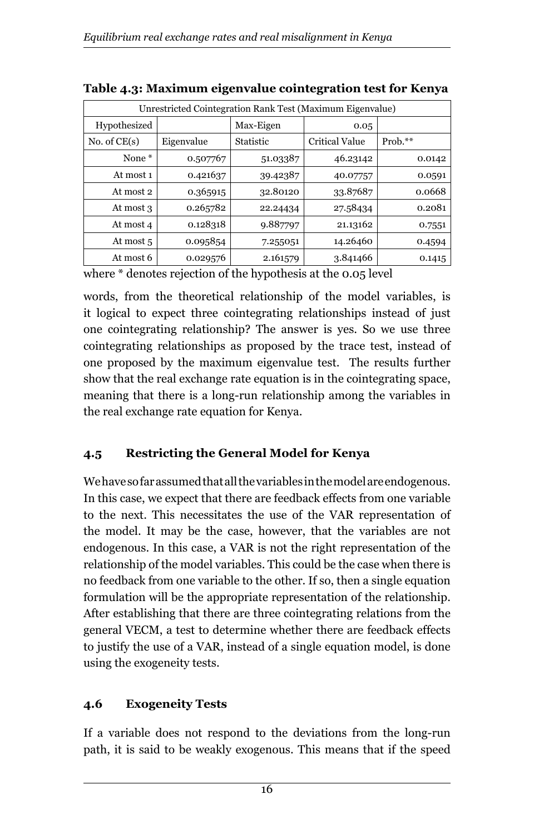| Unrestricted Cointegration Rank Test (Maximum Eigenvalue) |            |                   |                |            |  |  |  |  |
|-----------------------------------------------------------|------------|-------------------|----------------|------------|--|--|--|--|
| Hypothesized                                              |            | Max-Eigen<br>0.05 |                |            |  |  |  |  |
| No. of $CE(s)$                                            | Eigenvalue | <b>Statistic</b>  | Critical Value | Prob. $**$ |  |  |  |  |
| None <sup>*</sup>                                         | 0.507767   | 51.03387          | 46.23142       | 0.0142     |  |  |  |  |
| At most 1                                                 | 0.421637   | 39.42387          | 40.07757       | 0.0591     |  |  |  |  |
| At most 2                                                 | 0.365915   | 32.80120          | 33.87687       | 0.0668     |  |  |  |  |
| At most 3                                                 | 0.265782   | 22.24434          | 27.58434       | 0.2081     |  |  |  |  |
| At most 4                                                 | 0.128318   | 9.887797          | 21.13162       | 0.7551     |  |  |  |  |
| At most 5                                                 | 0.095854   | 7.255051          | 14.26460       | 0.4594     |  |  |  |  |
| At most 6                                                 | 0.029576   | 2.161579          | 3.841466       | 0.1415     |  |  |  |  |

**Table 4.3: Maximum eigenvalue cointegration test for Kenya**

where \* denotes rejection of the hypothesis at the 0.05 level

words, from the theoretical relationship of the model variables, is it logical to expect three cointegrating relationships instead of just one cointegrating relationship? The answer is yes. So we use three cointegrating relationships as proposed by the trace test, instead of one proposed by the maximum eigenvalue test. The results further show that the real exchange rate equation is in the cointegrating space, meaning that there is a long-run relationship among the variables in the real exchange rate equation for Kenya.

# **4.5 Restricting the General Model for Kenya**

We have so far assumed that all the variables in the model are endogenous. In this case, we expect that there are feedback effects from one variable to the next. This necessitates the use of the VAR representation of the model. It may be the case, however, that the variables are not endogenous. In this case, a VAR is not the right representation of the relationship of the model variables. This could be the case when there is no feedback from one variable to the other. If so, then a single equation formulation will be the appropriate representation of the relationship. After establishing that there are three cointegrating relations from the general VECM, a test to determine whether there are feedback effects to justify the use of a VAR, instead of a single equation model, is done using the exogeneity tests.

# **4.6 Exogeneity Tests**

If a variable does not respond to the deviations from the long-run path, it is said to be weakly exogenous. This means that if the speed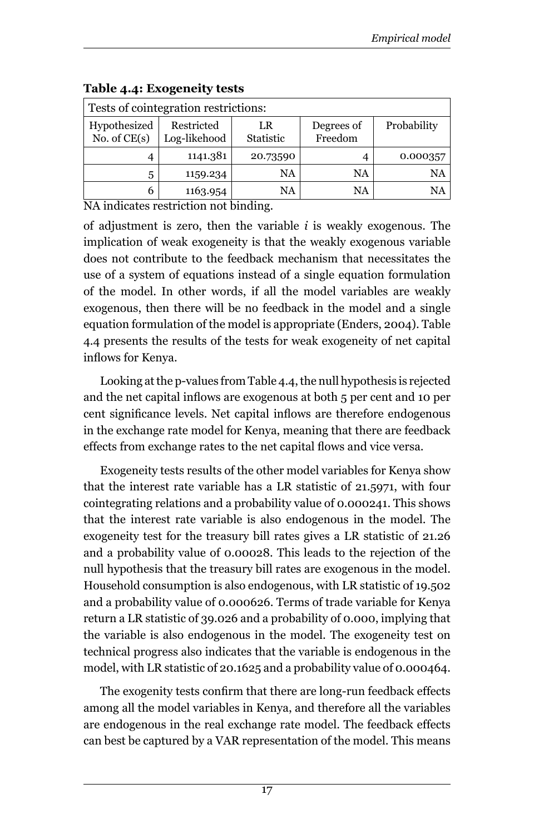| Tests of cointegration restrictions: |                                                                        |          |           |          |  |  |  |  |
|--------------------------------------|------------------------------------------------------------------------|----------|-----------|----------|--|--|--|--|
| Hypothesized<br>No. of $CE(s)$       | Restricted<br>Degrees of<br>LR<br>Freedom<br>Statistic<br>Log-likehood |          |           |          |  |  |  |  |
| 4                                    | 1141.381                                                               | 20.73590 |           | 0.000357 |  |  |  |  |
| 5                                    | 1159.234                                                               | NA       | <b>NA</b> | NA       |  |  |  |  |
| 6                                    | 1163.954                                                               | NA       | NA        | NA       |  |  |  |  |

#### **Table 4.4: Exogeneity tests**

NA indicates restriction not binding.

of adjustment is zero, then the variable *i* is weakly exogenous. The implication of weak exogeneity is that the weakly exogenous variable does not contribute to the feedback mechanism that necessitates the use of a system of equations instead of a single equation formulation of the model. In other words, if all the model variables are weakly exogenous, then there will be no feedback in the model and a single equation formulation of the model is appropriate (Enders, 2004). Table 4.4 presents the results of the tests for weak exogeneity of net capital inflows for Kenya.

Looking at the p-values from Table 4.4, the null hypothesis is rejected and the net capital inflows are exogenous at both 5 per cent and 10 per cent significance levels. Net capital inflows are therefore endogenous in the exchange rate model for Kenya, meaning that there are feedback effects from exchange rates to the net capital flows and vice versa.

Exogeneity tests results of the other model variables for Kenya show that the interest rate variable has a LR statistic of 21.5971, with four cointegrating relations and a probability value of 0.000241. This shows that the interest rate variable is also endogenous in the model. The exogeneity test for the treasury bill rates gives a LR statistic of 21.26 and a probability value of 0.00028. This leads to the rejection of the null hypothesis that the treasury bill rates are exogenous in the model. Household consumption is also endogenous, with LR statistic of 19.502 and a probability value of 0.000626. Terms of trade variable for Kenya return a LR statistic of 39.026 and a probability of 0.000, implying that the variable is also endogenous in the model. The exogeneity test on technical progress also indicates that the variable is endogenous in the model, with LR statistic of 20.1625 and a probability value of 0.000464.

The exogenity tests confirm that there are long-run feedback effects among all the model variables in Kenya, and therefore all the variables are endogenous in the real exchange rate model. The feedback effects can best be captured by a VAR representation of the model. This means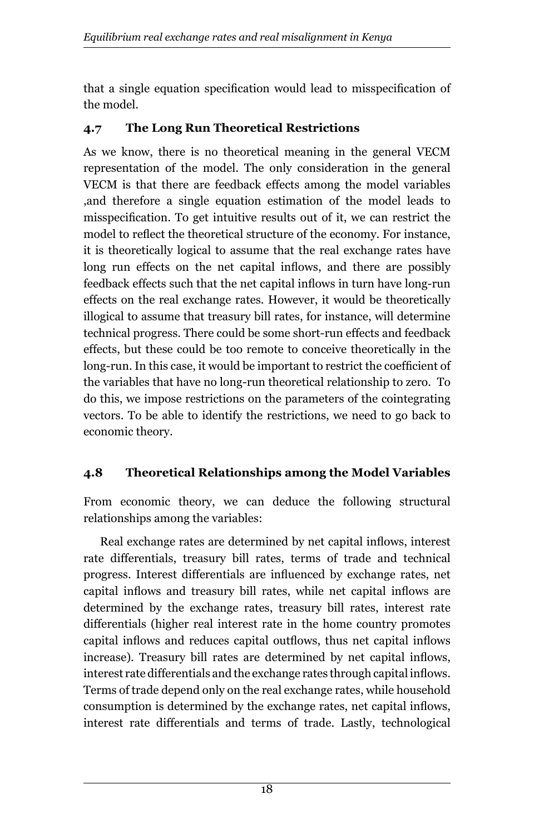that a single equation specification would lead to misspecification of the model.

### **4.7 The Long Run Theoretical Restrictions**

As we know, there is no theoretical meaning in the general VECM representation of the model. The only consideration in the general VECM is that there are feedback effects among the model variables ,and therefore a single equation estimation of the model leads to misspecification. To get intuitive results out of it, we can restrict the model to reflect the theoretical structure of the economy. For instance, it is theoretically logical to assume that the real exchange rates have long run effects on the net capital inflows, and there are possibly feedback effects such that the net capital inflows in turn have long-run effects on the real exchange rates. However, it would be theoretically illogical to assume that treasury bill rates, for instance, will determine technical progress. There could be some short-run effects and feedback effects, but these could be too remote to conceive theoretically in the long-run. In this case, it would be important to restrict the coefficient of the variables that have no long-run theoretical relationship to zero. To do this, we impose restrictions on the parameters of the cointegrating vectors. To be able to identify the restrictions, we need to go back to economic theory.

# **4.8 Theoretical Relationships among the Model Variables**

From economic theory, we can deduce the following structural relationships among the variables:

Real exchange rates are determined by net capital inflows, interest rate differentials, treasury bill rates, terms of trade and technical progress. Interest differentials are influenced by exchange rates, net capital inflows and treasury bill rates, while net capital inflows are determined by the exchange rates, treasury bill rates, interest rate differentials (higher real interest rate in the home country promotes capital inflows and reduces capital outflows, thus net capital inflows increase). Treasury bill rates are determined by net capital inflows, interest rate differentials and the exchange rates through capital inflows. Terms of trade depend only on the real exchange rates, while household consumption is determined by the exchange rates, net capital inflows, interest rate differentials and terms of trade. Lastly, technological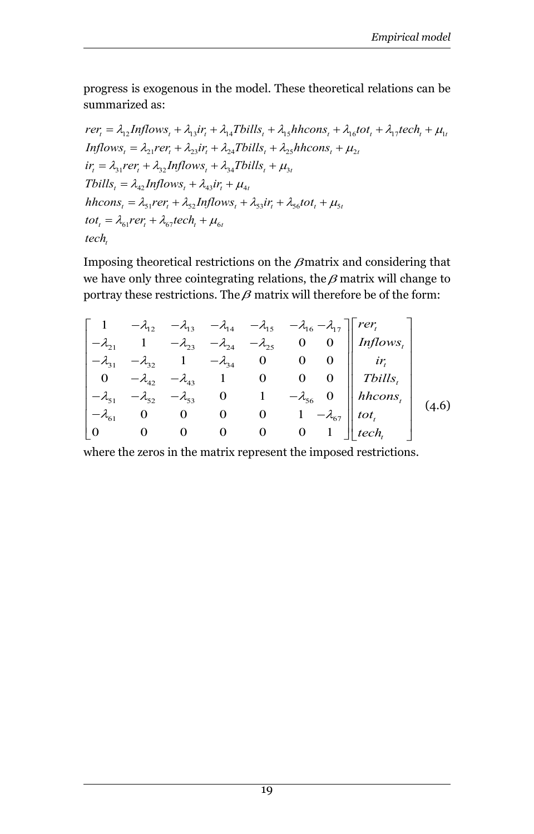progress is exogenous in the model. These theoretical relations can be summarized as:

$$
rer_{t} = \lambda_{12} Inflows_{t} + \lambda_{13} ir_{t} + \lambda_{14} T bills_{t} + \lambda_{15} hhcons_{t} + \lambda_{16} tot_{t} + \lambda_{17} tech_{t} + \mu_{1t}
$$
  
\n
$$
Inflows_{t} = \lambda_{21}rer_{t} + \lambda_{23} ir_{t} + \lambda_{24} T bills_{t} + \lambda_{25} hhcons_{t} + \mu_{2t}
$$
  
\n
$$
ir_{t} = \lambda_{31}rer_{t} + \lambda_{32} Inflows_{t} + \lambda_{34} T bills_{t} + \mu_{3t}
$$
  
\n
$$
T bills_{t} = \lambda_{42} Inflows_{t} + \lambda_{43} ir_{t} + \mu_{4t}
$$
  
\n
$$
hhcons_{t} = \lambda_{51}rer_{t} + \lambda_{52} Inflows_{t} + \lambda_{53} ir_{t} + \lambda_{56} tot_{t} + \mu_{5t}
$$
  
\n
$$
tot_{t} = \lambda_{61}rer_{t} + \lambda_{67} tech_{t} + \mu_{6t}
$$
  
\n
$$
tech_{t}
$$

Imposing theoretical restrictions on the  $\beta$  matrix and considering that we have only three cointegrating relations, the  $\beta$  matrix will change to portray these restrictions. The  $\beta$  matrix will therefore be of the form:

$$
\begin{bmatrix}\n1 & -\lambda_{12} & -\lambda_{13} & -\lambda_{14} & -\lambda_{15} & -\lambda_{16} - \lambda_{17} \\
-\lambda_{21} & 1 & -\lambda_{23} & -\lambda_{24} & -\lambda_{25} & 0 & 0 \\
-\lambda_{31} & -\lambda_{32} & 1 & -\lambda_{34} & 0 & 0 & 0 \\
0 & -\lambda_{42} & -\lambda_{43} & 1 & 0 & 0 & 0 \\
-\lambda_{51} & -\lambda_{52} & -\lambda_{53} & 0 & 1 & -\lambda_{56} & 0 \\
-\lambda_{61} & 0 & 0 & 0 & 0 & 1 & -\lambda_{67} \\
0 & 0 & 0 & 0 & 0 & 1 & 0\n\end{bmatrix}\n\begin{bmatrix}\n\text{reflows}\n\end{bmatrix}\n\begin{bmatrix}\n\text{reflows}\n\end{bmatrix}
$$
\n
$$
\begin{bmatrix}\n-\lambda_{21} & -\lambda_{22} & -\lambda_{23} & 0 & 0 \\
-\lambda_{31} & -\lambda_{32} & -\lambda_{33} & 0 & 1 \\
-\lambda_{62} & 0 & 0 & 0 & 0 \\
0 & 0 & 0 & 0 & 0 & 1\n\end{bmatrix}\n\begin{bmatrix}\n\text{trilbs}\n\end{bmatrix}\n\begin{bmatrix}\n\text{trilbs}\n\end{bmatrix}
$$
\n
$$
\begin{bmatrix}\n4.6 \\
0\n\end{bmatrix}
$$

where the zeros in the matrix represent the imposed restrictions.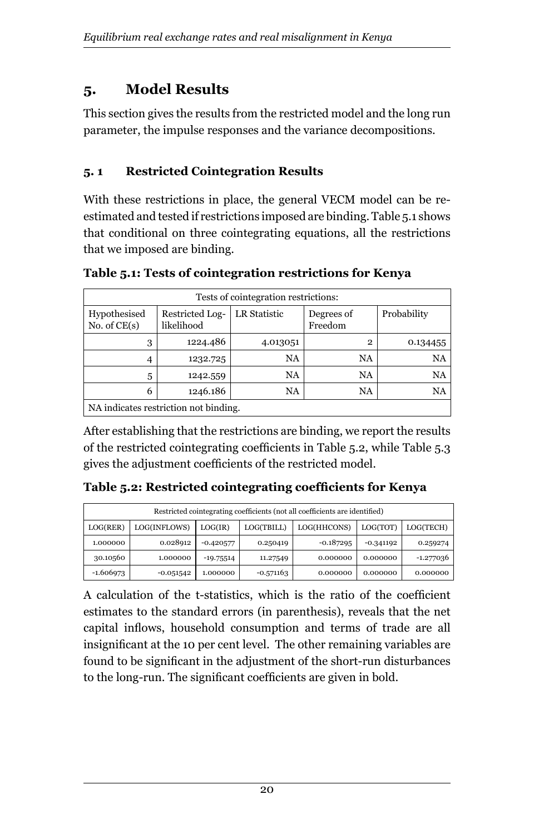# **5. Model Results**

This section gives the results from the restricted model and the long run parameter, the impulse responses and the variance decompositions.

# **5. 1 Restricted Cointegration Results**

With these restrictions in place, the general VECM model can be reestimated and tested if restrictions imposed are binding. Table 5.1 shows that conditional on three cointegrating equations, all the restrictions that we imposed are binding.

| Tests of cointegration restrictions:  |             |          |              |           |  |  |  |  |
|---------------------------------------|-------------|----------|--------------|-----------|--|--|--|--|
| Hypothesised<br>No. of $CE(s)$        | Probability |          |              |           |  |  |  |  |
| 3                                     | 1224.486    | 4.013051 | $\mathbf{2}$ | 0.134455  |  |  |  |  |
| 4                                     | 1232.725    | NA       | NA           | <b>NA</b> |  |  |  |  |
| 5                                     | 1242.559    | NA       | NA           | <b>NA</b> |  |  |  |  |
| 6                                     | 1246.186    | NA       | NA           | <b>NA</b> |  |  |  |  |
| NA indicates restriction not binding. |             |          |              |           |  |  |  |  |

**Table 5.1: Tests of cointegration restrictions for Kenya**

After establishing that the restrictions are binding, we report the results of the restricted cointegrating coefficients in Table 5.2, while Table 5.3 gives the adjustment coefficients of the restricted model.

**Table 5.2: Restricted cointegrating coefficients for Kenya**

| Restricted cointegrating coefficients (not all coefficients are identified) |              |             |           |             |             |             |  |  |
|-----------------------------------------------------------------------------|--------------|-------------|-----------|-------------|-------------|-------------|--|--|
| LOG(RER)                                                                    | LOG(INFLOWS) | LOG(HHCONS) | LOG(TOT)  | LOG(TECH)   |             |             |  |  |
| 1.000000                                                                    | 0.028912     | $-0.420577$ | 0.250419  | $-0.187295$ | $-0.341192$ | 0.259274    |  |  |
| 30.10560                                                                    | 1.000000     |             | 11.27549  | 0.000000    | 0.000000    | $-1.277036$ |  |  |
| -1.606973                                                                   | $-0.051542$  | 1.000000    | -0.571163 | 0.000000    | 0.000000    | 0.000000    |  |  |

A calculation of the t-statistics, which is the ratio of the coefficient estimates to the standard errors (in parenthesis), reveals that the net capital inflows, household consumption and terms of trade are all insignificant at the 10 per cent level. The other remaining variables are found to be significant in the adjustment of the short-run disturbances to the long-run. The significant coefficients are given in bold.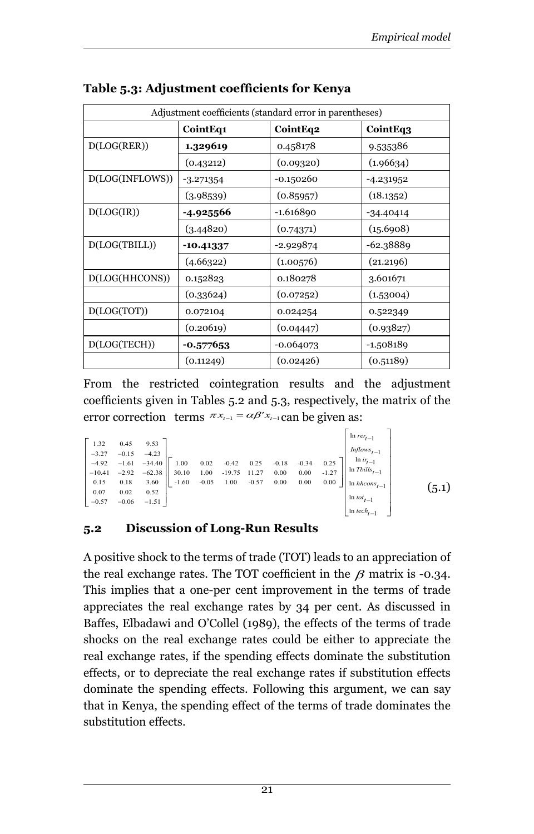| Adjustment coefficients (standard error in parentheses) |             |             |             |  |  |  |  |  |
|---------------------------------------------------------|-------------|-------------|-------------|--|--|--|--|--|
|                                                         | CointEq1    | CointEq2    | CointEq3    |  |  |  |  |  |
| D (LOG (RER))                                           | 1.329619    | 0.458178    | 9.535386    |  |  |  |  |  |
|                                                         | (0.43212)   | (0.09320)   | (1.96634)   |  |  |  |  |  |
| D(LOG(INFLOWS))                                         | $-3.271354$ | $-0.150260$ | -4.231952   |  |  |  |  |  |
|                                                         | (3.98539)   | (0.85957)   | (18.1352)   |  |  |  |  |  |
| D(LOG(IR))                                              | -4.925566   | -1.616890   | $-34.40414$ |  |  |  |  |  |
|                                                         | (3.44820)   | (0.74371)   | (15.6908)   |  |  |  |  |  |
| D(LOG(TBILL))                                           | -10.41337   | -2.929874   | $-62.38889$ |  |  |  |  |  |
|                                                         | (4.66322)   | (1.00576)   | (21.2196)   |  |  |  |  |  |
| D(LOG(HHCONS))                                          | 0.152823    | 0.180278    | 3.601671    |  |  |  |  |  |
|                                                         | (0.33624)   | (0.07252)   | (1.53004)   |  |  |  |  |  |
| D(LOG(TOT))                                             | 0.072104    | 0.024254    | 0.522349    |  |  |  |  |  |
|                                                         | (0.20619)   | (0.04447)   | (0.93827)   |  |  |  |  |  |
| D (LOG (TECH))                                          | $-0.577653$ | -0.064073   | -1.508189   |  |  |  |  |  |
|                                                         | (0.11249)   | (0.02426)   | (0.51189)   |  |  |  |  |  |

#### **Table 5.3: Adjustment coefficients for Kenya**

From the restricted cointegration results and the adjustment coefficients given in Tables 5.2 and 5.3, respectively, the matrix of the error correction terms  $\pi x_{t-1} = \alpha \beta' x_{t-1}$  can be given as:

|          |         |          |         |         |                       |         |          |      | $\begin{aligned} \ln\,rev_{t-1} \\ &\quad\, \mathit{Inflows}_{t-1} \end{aligned}$     |       |
|----------|---------|----------|---------|---------|-----------------------|---------|----------|------|---------------------------------------------------------------------------------------|-------|
| 1.32     | 0.45    | 9.53     |         |         |                       |         |          |      |                                                                                       |       |
| $-3.27$  | $-0.15$ | $-4.23$  |         |         |                       |         |          |      |                                                                                       |       |
| $-4.92$  | $-1.61$ | $-34.40$ | 1.00    |         | $0.02$ $-0.42$ $0.25$ | $-0.18$ | $-0.34$  |      | 0.25 $\left\  \begin{array}{c} \ln ir_{t-1} \\ \ln Tbills_{t-1} \end{array} \right\ $ |       |
| $-10.41$ | $-2.92$ | $-62.38$ | 30.10   |         | $1.00 -19.75 -11.27$  | 0.00    | $0.00\,$ |      |                                                                                       |       |
| 0.15     | 0.18    | 3.60     | $-1.60$ | $-0.05$ | $1.00 -0.57$          | 0.00    | 0.00     | 0.00 | $\parallel$ ln <i>hhcons</i> <sub><math>t-1</math></sub>                              | (5.1) |
| 0.07     | 0.02    | 0.52     |         |         |                       |         |          |      |                                                                                       |       |
| $-0.57$  | $-0.06$ | $-1.51$  |         |         |                       |         |          |      |                                                                                       |       |
|          |         |          |         |         |                       |         |          |      | $\begin{array}{c} \ln tot_{t-1} \\ \ln tech_{t-1} \end{array}$                        |       |

#### **5.2 Discussion of Long-Run Results**

A positive shock to the terms of trade (TOT) leads to an appreciation of the real exchange rates. The TOT coefficient in the  $\beta$  matrix is -0.34. This implies that a one-per cent improvement in the terms of trade appreciates the real exchange rates by 34 per cent. As discussed in Baffes, Elbadawi and O'Collel (1989), the effects of the terms of trade shocks on the real exchange rates could be either to appreciate the real exchange rates, if the spending effects dominate the substitution effects, or to depreciate the real exchange rates if substitution effects dominate the spending effects. Following this argument, we can say that in Kenya, the spending effect of the terms of trade dominates the substitution effects.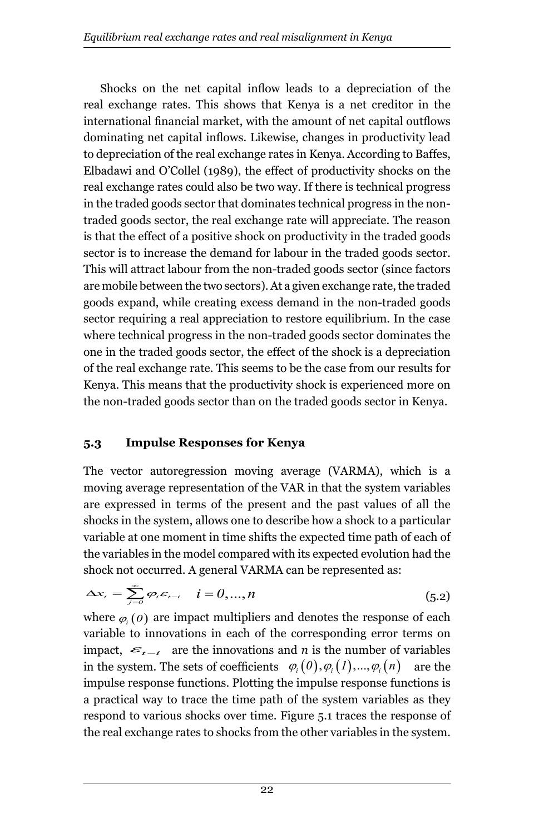Shocks on the net capital inflow leads to a depreciation of the real exchange rates. This shows that Kenya is a net creditor in the international financial market, with the amount of net capital outflows dominating net capital inflows. Likewise, changes in productivity lead to depreciation of the real exchange rates in Kenya. According to Baffes, Elbadawi and O'Collel (1989), the effect of productivity shocks on the real exchange rates could also be two way. If there is technical progress in the traded goods sector that dominates technical progress in the nontraded goods sector, the real exchange rate will appreciate. The reason is that the effect of a positive shock on productivity in the traded goods sector is to increase the demand for labour in the traded goods sector. This will attract labour from the non-traded goods sector (since factors are mobile between the two sectors). At a given exchange rate, the traded goods expand, while creating excess demand in the non-traded goods sector requiring a real appreciation to restore equilibrium. In the case where technical progress in the non-traded goods sector dominates the one in the traded goods sector, the effect of the shock is a depreciation of the real exchange rate. This seems to be the case from our results for Kenya. This means that the productivity shock is experienced more on the non-traded goods sector than on the traded goods sector in Kenya.

#### **5.3 Impulse Responses for Kenya**

The vector autoregression moving average (VARMA), which is a moving average representation of the VAR in that the system variables are expressed in terms of the present and the past values of all the shocks in the system, allows one to describe how a shock to a particular variable at one moment in time shifts the expected time path of each of the variables in the model compared with its expected evolution had the shock not occurred. A general VARMA can be represented as:

$$
\Delta x_i = \sum_{j=0}^{\infty} \varphi_i \varepsilon_{t-i} \quad i = 0, ..., n
$$
\n(5.2)

where  $\varphi_i$  (*0*) are impact multipliers and denotes the response of each variable to innovations in each of the corresponding error terms on impact,  $\varepsilon_{t-i}$  are the innovations and *n* is the number of variables in the system. The sets of coefficients  $\varphi_i(0), \varphi_i(1), ..., \varphi_i(n)$  are the impulse response functions. Plotting the impulse response functions is a practical way to trace the time path of the system variables as they respond to various shocks over time. Figure 5.1 traces the response of the real exchange rates to shocks from the other variables in the system.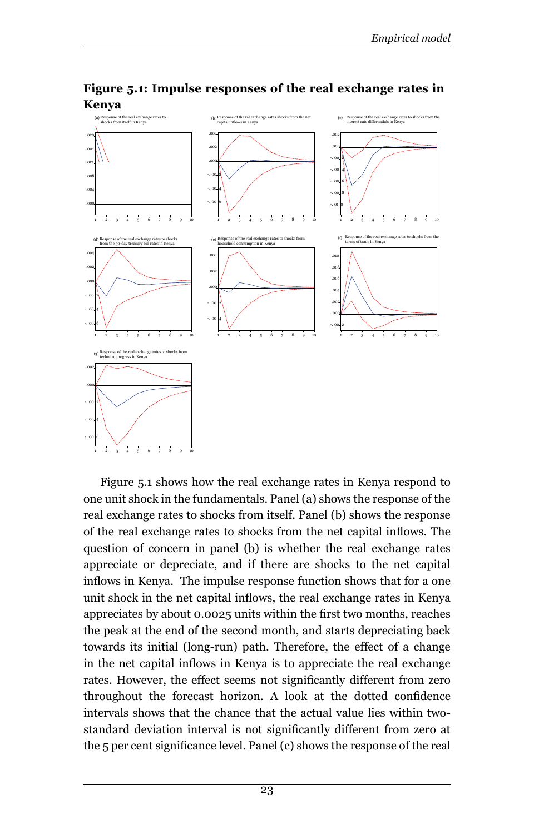

**Figure 5.1: Impulse responses of the real exchange rates in Kenya**

Figure 5.1 shows how the real exchange rates in Kenya respond to one unit shock in the fundamentals. Panel (a) shows the response of the real exchange rates to shocks from itself. Panel (b) shows the response of the real exchange rates to shocks from the net capital inflows. The question of concern in panel (b) is whether the real exchange rates appreciate or depreciate, and if there are shocks to the net capital inflows in Kenya. The impulse response function shows that for a one unit shock in the net capital inflows, the real exchange rates in Kenya appreciates by about 0.0025 units within the first two months, reaches the peak at the end of the second month, and starts depreciating back towards its initial (long-run) path. Therefore, the effect of a change in the net capital inflows in Kenya is to appreciate the real exchange rates. However, the effect seems not significantly different from zero throughout the forecast horizon. A look at the dotted confidence intervals shows that the chance that the actual value lies within twostandard deviation interval is not significantly different from zero at the 5 per cent significance level. Panel (c) shows the response of the real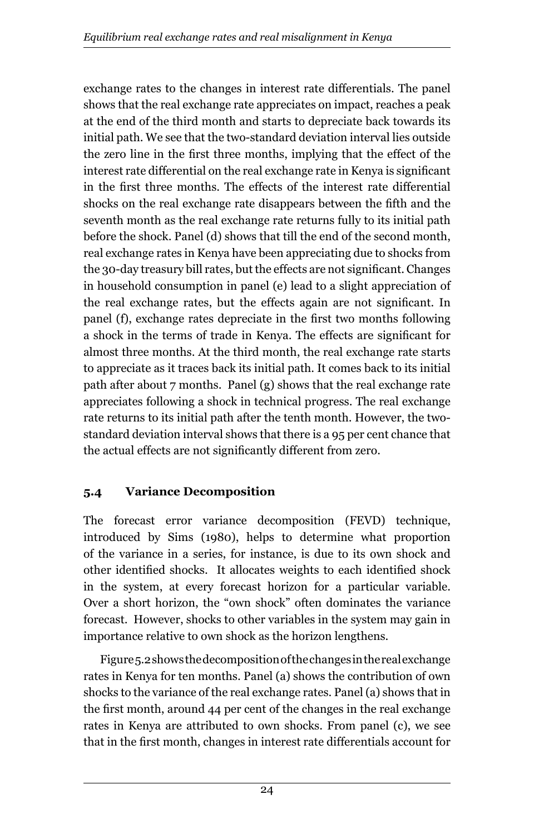exchange rates to the changes in interest rate differentials. The panel shows that the real exchange rate appreciates on impact, reaches a peak at the end of the third month and starts to depreciate back towards its initial path. We see that the two-standard deviation interval lies outside the zero line in the first three months, implying that the effect of the interest rate differential on the real exchange rate in Kenya is significant in the first three months. The effects of the interest rate differential shocks on the real exchange rate disappears between the fifth and the seventh month as the real exchange rate returns fully to its initial path before the shock. Panel (d) shows that till the end of the second month, real exchange rates in Kenya have been appreciating due to shocks from the 30-day treasury bill rates, but the effects are not significant. Changes in household consumption in panel (e) lead to a slight appreciation of the real exchange rates, but the effects again are not significant. In panel (f), exchange rates depreciate in the first two months following a shock in the terms of trade in Kenya. The effects are significant for almost three months. At the third month, the real exchange rate starts to appreciate as it traces back its initial path. It comes back to its initial path after about 7 months. Panel (g) shows that the real exchange rate appreciates following a shock in technical progress. The real exchange rate returns to its initial path after the tenth month. However, the twostandard deviation interval shows that there is a 95 per cent chance that the actual effects are not significantly different from zero.

# **5.4 Variance Decomposition**

The forecast error variance decomposition (FEVD) technique, introduced by Sims (1980), helps to determine what proportion of the variance in a series, for instance, is due to its own shock and other identified shocks. It allocates weights to each identified shock in the system, at every forecast horizon for a particular variable. Over a short horizon, the "own shock" often dominates the variance forecast. However, shocks to other variables in the system may gain in importance relative to own shock as the horizon lengthens.

Figure 5.2 shows the decomposition of the changes in the real exchange rates in Kenya for ten months. Panel (a) shows the contribution of own shocks to the variance of the real exchange rates. Panel (a) shows that in the first month, around 44 per cent of the changes in the real exchange rates in Kenya are attributed to own shocks. From panel (c), we see that in the first month, changes in interest rate differentials account for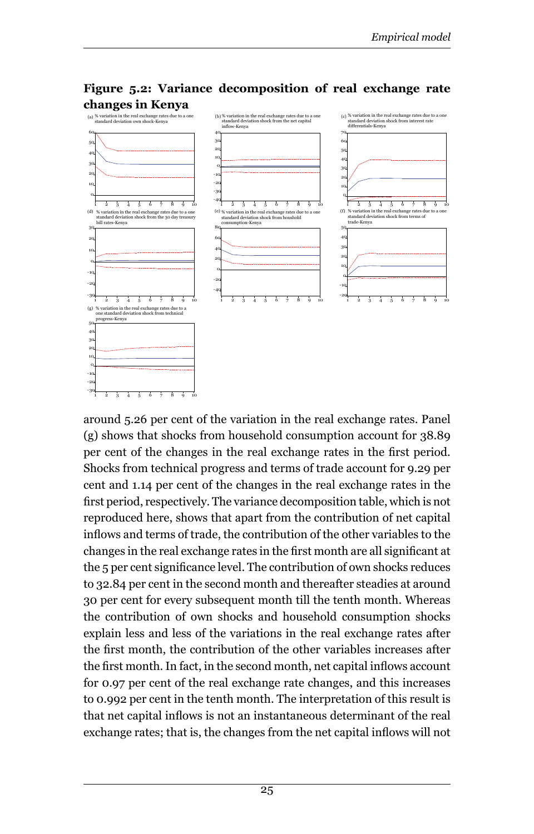

**Figure 5.2: Variance decomposition of real exchange rate changes in Kenya**

around 5.26 per cent of the variation in the real exchange rates. Panel (g) shows that shocks from household consumption account for 38.89 per cent of the changes in the real exchange rates in the first period. Shocks from technical progress and terms of trade account for 9.29 per cent and 1.14 per cent of the changes in the real exchange rates in the first period, respectively. The variance decomposition table, which is not reproduced here, shows that apart from the contribution of net capital inflows and terms of trade, the contribution of the other variables to the changes in the real exchange rates in the first month are all significant at the 5 per cent significance level. The contribution of own shocks reduces to 32.84 per cent in the second month and thereafter steadies at around 30 per cent for every subsequent month till the tenth month. Whereas the contribution of own shocks and household consumption shocks explain less and less of the variations in the real exchange rates after the first month, the contribution of the other variables increases after the first month. In fact, in the second month, net capital inflows account for 0.97 per cent of the real exchange rate changes, and this increases to 0.992 per cent in the tenth month. The interpretation of this result is that net capital inflows is not an instantaneous determinant of the real exchange rates; that is, the changes from the net capital inflows will not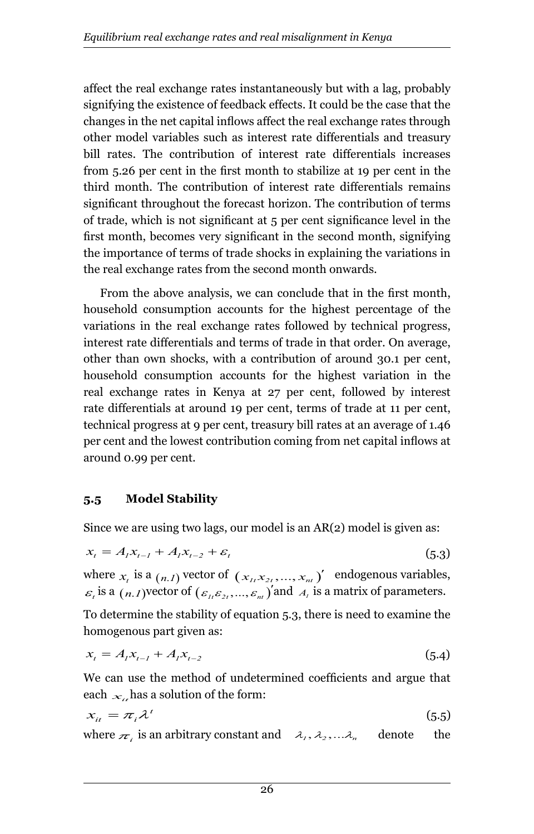affect the real exchange rates instantaneously but with a lag, probably signifying the existence of feedback effects. It could be the case that the changes in the net capital inflows affect the real exchange rates through other model variables such as interest rate differentials and treasury bill rates. The contribution of interest rate differentials increases from 5.26 per cent in the first month to stabilize at 19 per cent in the third month. The contribution of interest rate differentials remains significant throughout the forecast horizon. The contribution of terms of trade, which is not significant at 5 per cent significance level in the first month, becomes very significant in the second month, signifying the importance of terms of trade shocks in explaining the variations in the real exchange rates from the second month onwards.

From the above analysis, we can conclude that in the first month, household consumption accounts for the highest percentage of the variations in the real exchange rates followed by technical progress, interest rate differentials and terms of trade in that order. On average, other than own shocks, with a contribution of around 30.1 per cent, household consumption accounts for the highest variation in the real exchange rates in Kenya at 27 per cent, followed by interest rate differentials at around 19 per cent, terms of trade at 11 per cent, technical progress at 9 per cent, treasury bill rates at an average of 1.46 per cent and the lowest contribution coming from net capital inflows at around 0.99 per cent.

# **5.5 Model Stability**

Since we are using two lags, our model is an AR(2) model is given as:

$$
x_{t} = A_{t}x_{t-1} + A_{t}x_{t-2} + \varepsilon_{t}
$$
\n(5.3)

where  $x_i$  is a  $(n.1)$  vector of  $(x_i, x_{2i}, ..., x_{ni})'$  endogenous variables,  $\varepsilon_i$  is a  $(n, 1)$  vector of  $(\varepsilon_{i_1} \varepsilon_{2}, ..., \varepsilon_{ni} )$  and  $A_i$  is a matrix of parameters.

To determine the stability of equation 5.3, there is need to examine the homogenous part given as:

$$
x_{t} = A_{t}x_{t-1} + A_{t}x_{t-2}
$$
\n(5.4)

We can use the method of undetermined coefficients and argue that each  $x_i$  has a solution of the form:

$$
x_{it} = \pi_i \lambda^t \tag{5.5}
$$

where  $\pi_i$  is an arbitrary constant and  $\lambda_i, \lambda_2, \ldots, \lambda_n$  denote the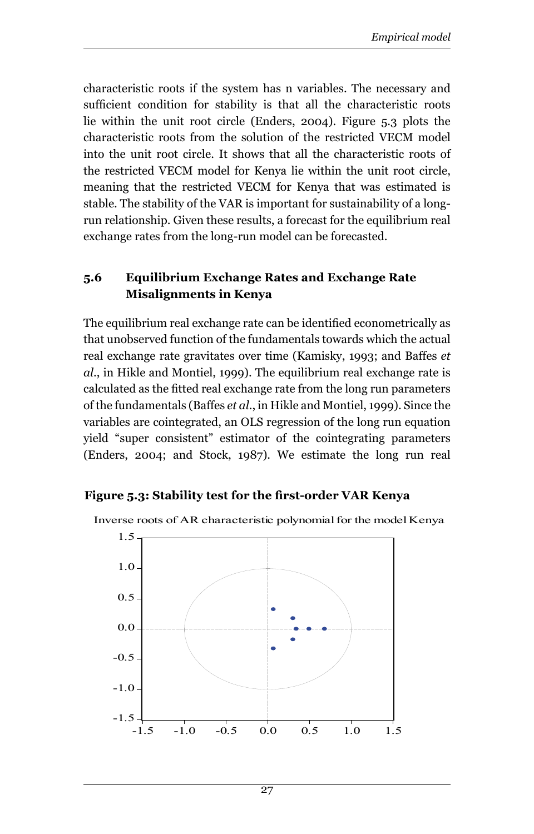characteristic roots if the system has n variables. The necessary and sufficient condition for stability is that all the characteristic roots lie within the unit root circle (Enders, 2004). Figure 5.3 plots the characteristic roots from the solution of the restricted VECM model into the unit root circle. It shows that all the characteristic roots of the restricted VECM model for Kenya lie within the unit root circle, meaning that the restricted VECM for Kenya that was estimated is stable. The stability of the VAR is important for sustainability of a longrun relationship. Given these results, a forecast for the equilibrium real exchange rates from the long-run model can be forecasted.

#### **5.6 Equilibrium Exchange Rates and Exchange Rate Misalignments in Kenya**

The equilibrium real exchange rate can be identified econometrically as that unobserved function of the fundamentals towards which the actual real exchange rate gravitates over time (Kamisky, 1993; and Baffes *et al*., in Hikle and Montiel, 1999). The equilibrium real exchange rate is calculated as the fitted real exchange rate from the long run parameters of the fundamentals (Baffes *et al*., in Hikle and Montiel, 1999). Since the variables are cointegrated, an OLS regression of the long run equation yield "super consistent" estimator of the cointegrating parameters (Enders, 2004; and Stock, 1987). We estimate the long run real

#### **Figure 5.3: Stability test for the first-order VAR Kenya**



Inverse roots of AR characteristic polynomial for the model Kenya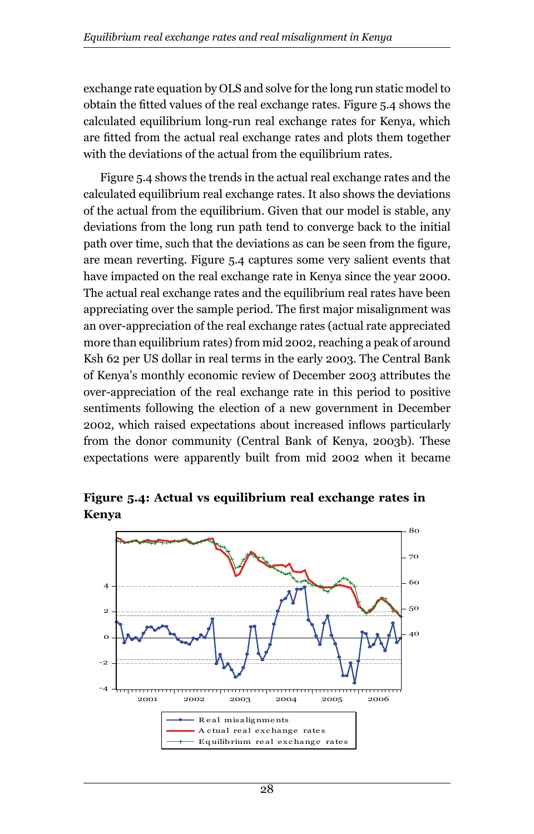exchange rate equation by OLS and solve for the long run static model to obtain the fitted values of the real exchange rates. Figure 5.4 shows the calculated equilibrium long-run real exchange rates for Kenya, which are fitted from the actual real exchange rates and plots them together with the deviations of the actual from the equilibrium rates.

Figure 5.4 shows the trends in the actual real exchange rates and the calculated equilibrium real exchange rates. It also shows the deviations of the actual from the equilibrium. Given that our model is stable, any deviations from the long run path tend to converge back to the initial path over time, such that the deviations as can be seen from the figure, are mean reverting. Figure 5.4 captures some very salient events that have impacted on the real exchange rate in Kenya since the year 2000. The actual real exchange rates and the equilibrium real rates have been appreciating over the sample period. The first major misalignment was an over-appreciation of the real exchange rates (actual rate appreciated more than equilibrium rates) from mid 2002, reaching a peak of around Ksh 62 per US dollar in real terms in the early 2003. The Central Bank of Kenya's monthly economic review of December 2003 attributes the over-appreciation of the real exchange rate in this period to positive sentiments following the election of a new government in December 2002, which raised expectations about increased inflows particularly from the donor community (Central Bank of Kenya, 2003b). These expectations were apparently built from mid 2002 when it became



**Figure 5.4: Actual vs equilibrium real exchange rates in Kenya**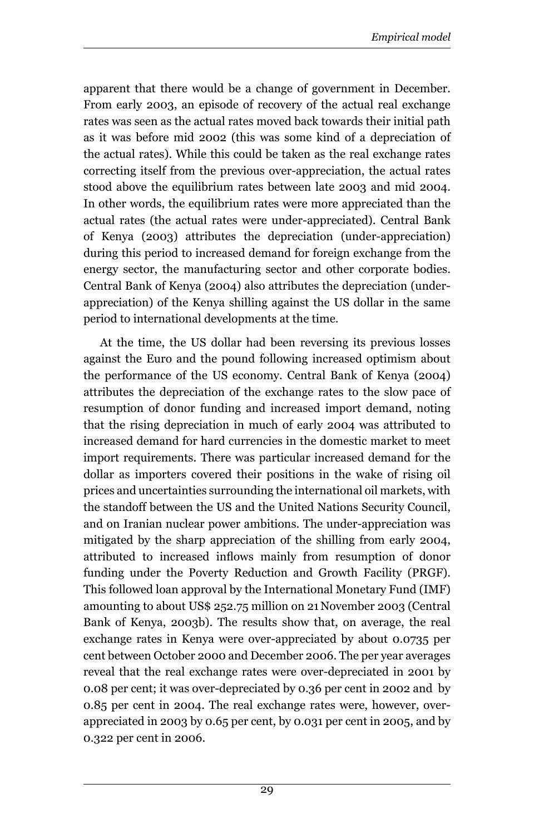apparent that there would be a change of government in December. From early 2003, an episode of recovery of the actual real exchange rates was seen as the actual rates moved back towards their initial path as it was before mid 2002 (this was some kind of a depreciation of the actual rates). While this could be taken as the real exchange rates correcting itself from the previous over-appreciation, the actual rates stood above the equilibrium rates between late 2003 and mid 2004. In other words, the equilibrium rates were more appreciated than the actual rates (the actual rates were under-appreciated). Central Bank of Kenya (2003) attributes the depreciation (under-appreciation) during this period to increased demand for foreign exchange from the energy sector, the manufacturing sector and other corporate bodies. Central Bank of Kenya (2004) also attributes the depreciation (underappreciation) of the Kenya shilling against the US dollar in the same period to international developments at the time.

At the time, the US dollar had been reversing its previous losses against the Euro and the pound following increased optimism about the performance of the US economy. Central Bank of Kenya (2004) attributes the depreciation of the exchange rates to the slow pace of resumption of donor funding and increased import demand, noting that the rising depreciation in much of early 2004 was attributed to increased demand for hard currencies in the domestic market to meet import requirements. There was particular increased demand for the dollar as importers covered their positions in the wake of rising oil prices and uncertainties surrounding the international oil markets, with the standoff between the US and the United Nations Security Council, and on Iranian nuclear power ambitions. The under-appreciation was mitigated by the sharp appreciation of the shilling from early 2004, attributed to increased inflows mainly from resumption of donor funding under the Poverty Reduction and Growth Facility (PRGF). This followed loan approval by the International Monetary Fund (IMF) amounting to about US\$ 252.75 million on 21November 2003 (Central Bank of Kenya, 2003b). The results show that, on average, the real exchange rates in Kenya were over-appreciated by about 0.0735 per cent between October 2000 and December 2006. The per year averages reveal that the real exchange rates were over-depreciated in 2001 by 0.08 per cent; it was over-depreciated by 0.36 per cent in 2002 and by 0.85 per cent in 2004. The real exchange rates were, however, overappreciated in 2003 by 0.65 per cent, by 0.031 per cent in 2005, and by 0.322 per cent in 2006.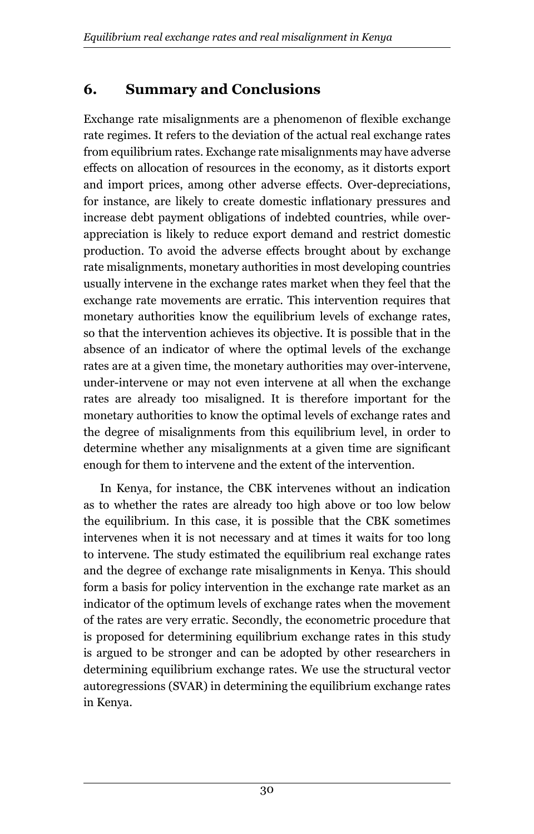# **6. Summary and Conclusions**

Exchange rate misalignments are a phenomenon of flexible exchange rate regimes. It refers to the deviation of the actual real exchange rates from equilibrium rates. Exchange rate misalignments may have adverse effects on allocation of resources in the economy, as it distorts export and import prices, among other adverse effects. Over-depreciations, for instance, are likely to create domestic inflationary pressures and increase debt payment obligations of indebted countries, while overappreciation is likely to reduce export demand and restrict domestic production. To avoid the adverse effects brought about by exchange rate misalignments, monetary authorities in most developing countries usually intervene in the exchange rates market when they feel that the exchange rate movements are erratic. This intervention requires that monetary authorities know the equilibrium levels of exchange rates, so that the intervention achieves its objective. It is possible that in the absence of an indicator of where the optimal levels of the exchange rates are at a given time, the monetary authorities may over-intervene, under-intervene or may not even intervene at all when the exchange rates are already too misaligned. It is therefore important for the monetary authorities to know the optimal levels of exchange rates and the degree of misalignments from this equilibrium level, in order to determine whether any misalignments at a given time are significant enough for them to intervene and the extent of the intervention.

In Kenya, for instance, the CBK intervenes without an indication as to whether the rates are already too high above or too low below the equilibrium. In this case, it is possible that the CBK sometimes intervenes when it is not necessary and at times it waits for too long to intervene. The study estimated the equilibrium real exchange rates and the degree of exchange rate misalignments in Kenya. This should form a basis for policy intervention in the exchange rate market as an indicator of the optimum levels of exchange rates when the movement of the rates are very erratic. Secondly, the econometric procedure that is proposed for determining equilibrium exchange rates in this study is argued to be stronger and can be adopted by other researchers in determining equilibrium exchange rates. We use the structural vector autoregressions (SVAR) in determining the equilibrium exchange rates in Kenya.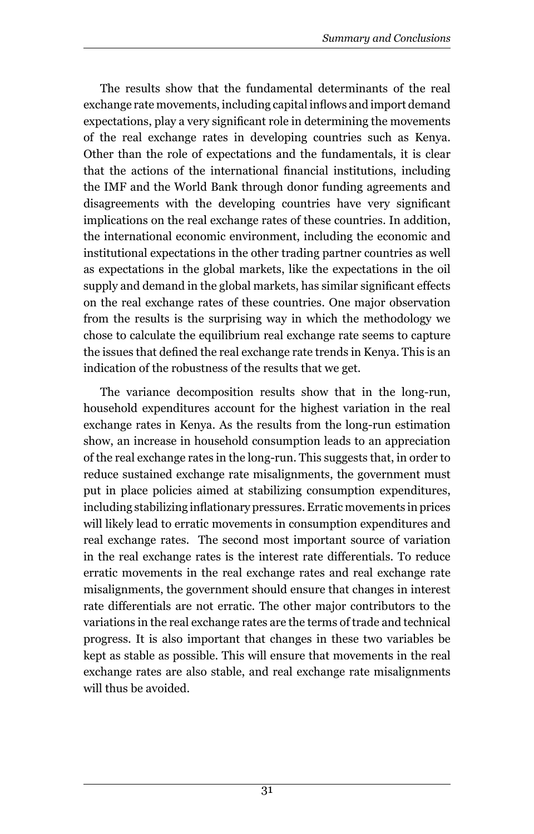The results show that the fundamental determinants of the real exchange rate movements, including capital inflows and import demand expectations, play a very significant role in determining the movements of the real exchange rates in developing countries such as Kenya. Other than the role of expectations and the fundamentals, it is clear that the actions of the international financial institutions, including the IMF and the World Bank through donor funding agreements and disagreements with the developing countries have very significant implications on the real exchange rates of these countries. In addition, the international economic environment, including the economic and institutional expectations in the other trading partner countries as well as expectations in the global markets, like the expectations in the oil supply and demand in the global markets, has similar significant effects on the real exchange rates of these countries. One major observation from the results is the surprising way in which the methodology we chose to calculate the equilibrium real exchange rate seems to capture the issues that defined the real exchange rate trends in Kenya. This is an indication of the robustness of the results that we get.

The variance decomposition results show that in the long-run, household expenditures account for the highest variation in the real exchange rates in Kenya. As the results from the long-run estimation show, an increase in household consumption leads to an appreciation of the real exchange rates in the long-run. This suggests that, in order to reduce sustained exchange rate misalignments, the government must put in place policies aimed at stabilizing consumption expenditures, including stabilizing inflationary pressures. Erratic movements in prices will likely lead to erratic movements in consumption expenditures and real exchange rates. The second most important source of variation in the real exchange rates is the interest rate differentials. To reduce erratic movements in the real exchange rates and real exchange rate misalignments, the government should ensure that changes in interest rate differentials are not erratic. The other major contributors to the variations in the real exchange rates are the terms of trade and technical progress. It is also important that changes in these two variables be kept as stable as possible. This will ensure that movements in the real exchange rates are also stable, and real exchange rate misalignments will thus be avoided.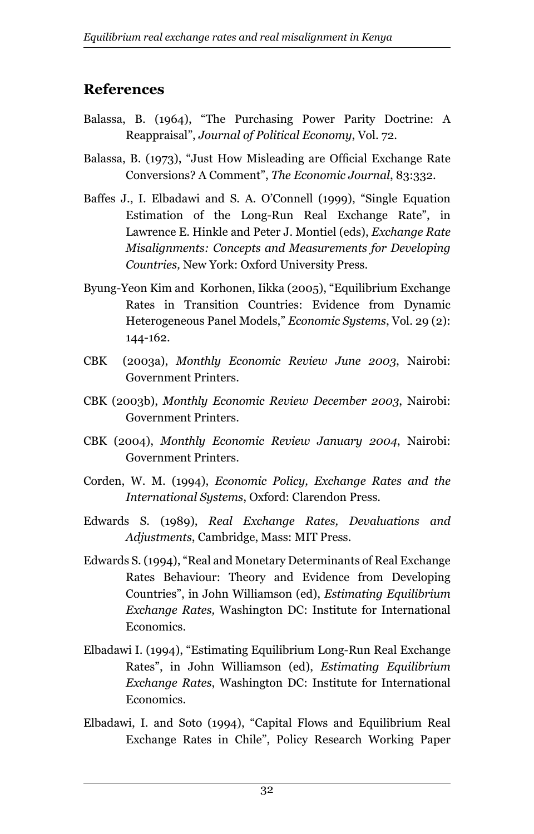# **References**

- Balassa, B. (1964), "The Purchasing Power Parity Doctrine: A Reappraisal", *Journal of Political Economy*, Vol. 72.
- Balassa, B. (1973), "Just How Misleading are Official Exchange Rate Conversions? A Comment", *The Economic Journal*, 83:332.
- Baffes J., I. Elbadawi and S. A. O'Connell (1999), "Single Equation Estimation of the Long-Run Real Exchange Rate", in Lawrence E. Hinkle and Peter J. Montiel (eds), *Exchange Rate Misalignments: Concepts and Measurements for Developing Countries,* New York: Oxford University Press.
- Byung-Yeon Kim and Korhonen, Iikka (2005), "Equilibrium Exchange Rates in Transition Countries: Evidence from Dynamic Heterogeneous Panel Models," *Economic Systems*, Vol. 29 (2): 144-162.
- CBK (2003a), *Monthly Economic Review June 2003*, Nairobi: Government Printers.
- CBK (2003b), *Monthly Economic Review December 2003*, Nairobi: Government Printers.
- CBK (2004), *Monthly Economic Review January 2004*, Nairobi: Government Printers.
- Corden, W. M. (1994), *Economic Policy, Exchange Rates and the International Systems*, Oxford: Clarendon Press.
- Edwards S. (1989), *Real Exchange Rates, Devaluations and Adjustments*, Cambridge, Mass: MIT Press.
- Edwards S. (1994), "Real and Monetary Determinants of Real Exchange Rates Behaviour: Theory and Evidence from Developing Countries", in John Williamson (ed), *Estimating Equilibrium Exchange Rates,* Washington DC: Institute for International Economics.
- Elbadawi I. (1994), "Estimating Equilibrium Long-Run Real Exchange Rates", in John Williamson (ed), *Estimating Equilibrium Exchange Rates*, Washington DC: Institute for International Economics.
- Elbadawi, I. and Soto (1994), "Capital Flows and Equilibrium Real Exchange Rates in Chile", Policy Research Working Paper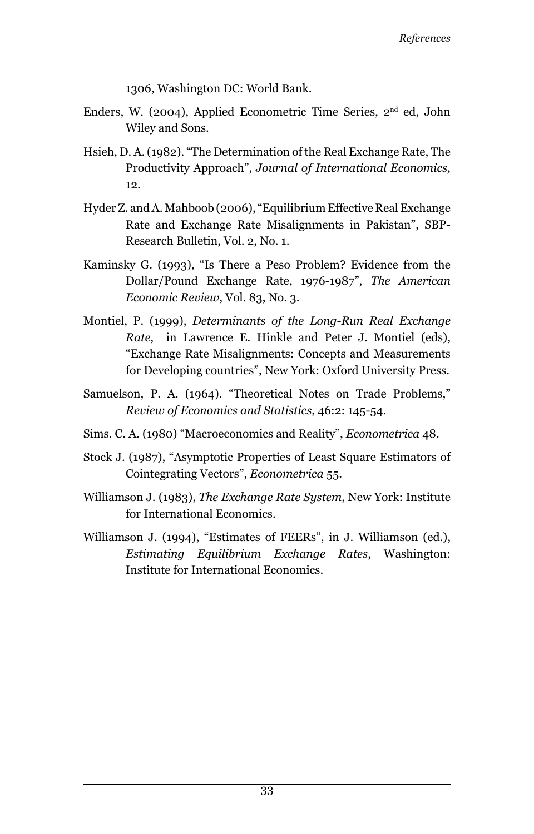1306, Washington DC: World Bank.

- Enders, W. (2004), Applied Econometric Time Series, 2nd ed, John Wiley and Sons.
- Hsieh, D. A. (1982). "The Determination of the Real Exchange Rate, The Productivity Approach", *Journal of International Economics,* 12.
- Hyder Z. and A. Mahboob (2006), "Equilibrium Effective Real Exchange Rate and Exchange Rate Misalignments in Pakistan", SBP-Research Bulletin, Vol. 2, No. 1.
- Kaminsky G. (1993), "Is There a Peso Problem? Evidence from the Dollar/Pound Exchange Rate, 1976-1987", *The American Economic Review*, Vol. 83, No. 3.
- Montiel, P. (1999), *Determinants of the Long-Run Real Exchange Rate*, in Lawrence E. Hinkle and Peter J. Montiel (eds), "Exchange Rate Misalignments: Concepts and Measurements for Developing countries", New York: Oxford University Press.
- Samuelson, P. A. (1964). "Theoretical Notes on Trade Problems," *Review of Economics and Statistics*, 46:2: 145-54.
- Sims. C. A. (1980) "Macroeconomics and Reality", *Econometrica* 48.
- Stock J. (1987), "Asymptotic Properties of Least Square Estimators of Cointegrating Vectors", *Econometrica* 55.
- Williamson J. (1983), *The Exchange Rate System*, New York: Institute for International Economics.
- Williamson J. (1994), "Estimates of FEERs", in J. Williamson (ed.), *Estimating Equilibrium Exchange Rates*, Washington: Institute for International Economics.